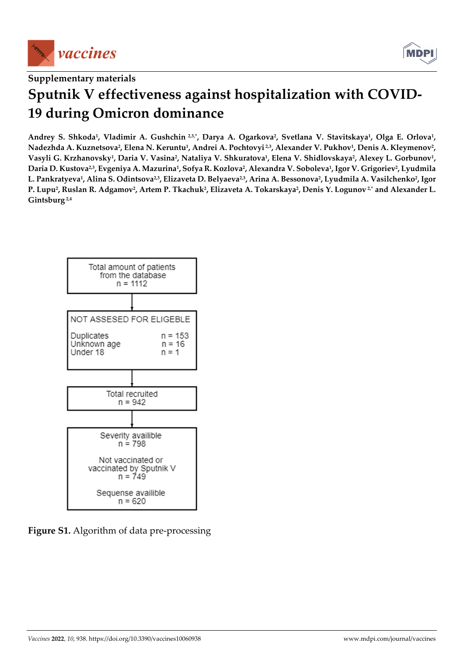



# **Supplementary materials Sputnik V effectiveness against hospitalization with COVID-19 during Omicron dominance**

**Andrey S. Shkoda1, Vladimir A. Gushchin 2,3,\*, Darya A. Ogarkova2, Svetlana V. Stavitskaya1, Olga E. Orlova1,**  Nadezhda A. Kuznetsova<sup>2</sup>, Elena N. Keruntu<sup>1</sup>, Andrei A. Pochtovyi <sup>2,3</sup>, Alexander V. Pukhov<sup>1</sup>, Denis A. Kleymenov<sup>2</sup>, **Vasyli G. Krzhanovsky1, Daria V. Vasina2, Nataliya V. Shkuratova1, Elena V. Shidlovskaya2, Alexey L. Gorbunov1,**  Daria D. Kustova<sup>2,3</sup>, Evgeniya A. Mazurina<sup>1</sup>, Sofya R. Kozlova<sup>2</sup>, Alexandra V. Soboleva<sup>1</sup>, Igor V. Grigoriev<sup>2</sup>, Lyudmila L. Pankratyeva<sup>1</sup>, Alina S. Odintsova<sup>2,3</sup>, Elizaveta D. Belyaeva<sup>2,3</sup>, Arina A. Bessonova<sup>2</sup>, Lyudmila A. Vasilchenko<sup>2</sup>, Igor P. Lupu<sup>2</sup>, Ruslan R. Adgamov<sup>2</sup>, Artem P. Tkachuk<sup>2</sup>, Elizaveta A. Tokarskaya<sup>2</sup>, Denis Y. Logunov<sup>2,\*</sup> and Alexander L. **Gintsburg 2,4** 



**Figure S1.** Algorithm of data pre-processing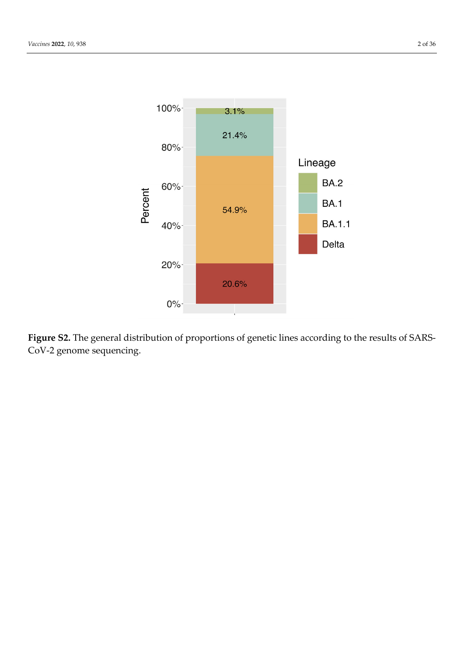

**Figure S2.** The general distribution of proportions of genetic lines according to the results of SARS-CoV-2 genome sequencing.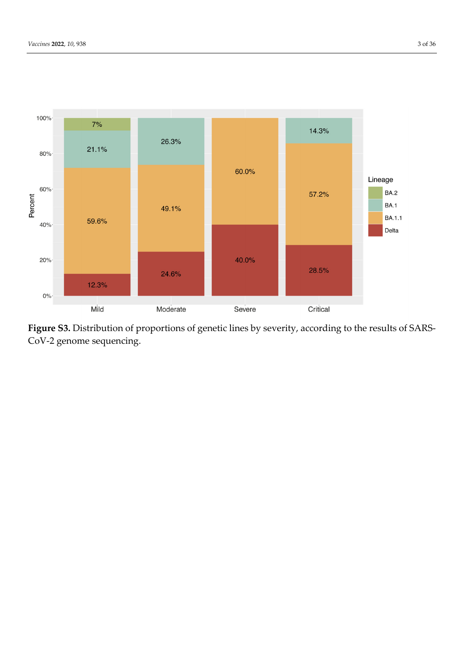

**Figure S3.** Distribution of proportions of genetic lines by severity, according to the results of SARS-CoV-2 genome sequencing.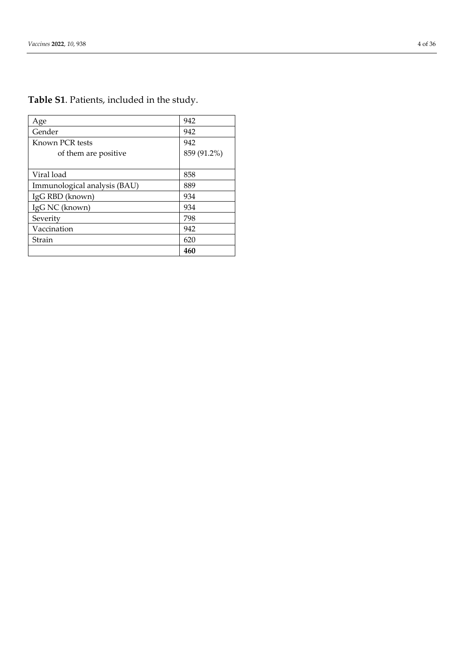# **Table S1**. Patients, included in the study.

| Age                          | 942         |
|------------------------------|-------------|
| Gender                       | 942         |
| Known PCR tests              | 942         |
| of them are positive         | 859 (91.2%) |
|                              |             |
| Viral load                   | 858         |
| Immunological analysis (BAU) | 889         |
| IgG RBD (known)              | 934         |
| IgG NC (known)               | 934         |
| Severity                     | 798         |
| Vaccination                  | 942         |
| Strain                       | 620         |
|                              | 460         |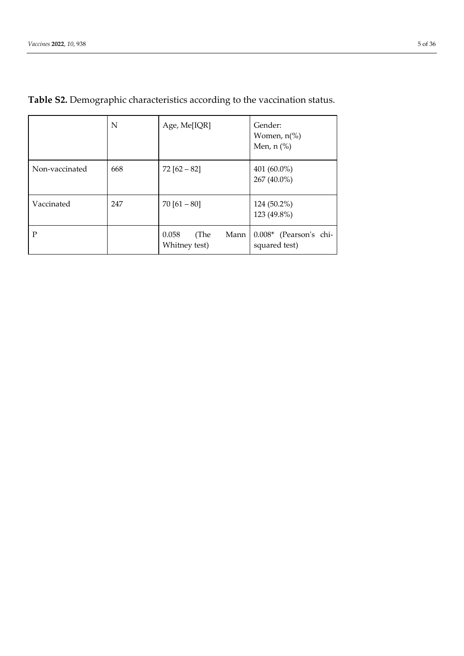|                | N   | Age, Me[IQR]                           | Gender:<br>Women, $n\frac{6}{6}$<br>Men, $n$ $\left(\frac{9}{6}\right)$ |
|----------------|-----|----------------------------------------|-------------------------------------------------------------------------|
| Non-vaccinated | 668 | $72$ [62 – 82]                         | 401 $(60.0\%)$<br>267 (40.0%)                                           |
| Vaccinated     | 247 | $70 [61 - 80]$                         | 124 (50.2%)<br>123 (49.8%)                                              |
| $\mathbf{P}$   |     | 0.058<br>(The<br>Mann<br>Whitney test) | 0.008* (Pearson's chi-<br>squared test)                                 |

# **Table S2.** Demographic characteristics according to the vaccination status.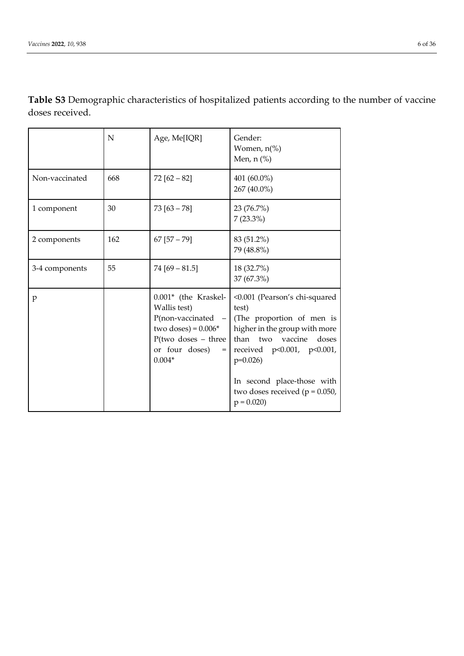|                | N   | Age, Me[IQR]                                                                                                                        | Gender:<br>Women, $n\frac{6}{6}$<br>Men, $n$ $%$                                                                                                                                                                                                                                        |
|----------------|-----|-------------------------------------------------------------------------------------------------------------------------------------|-----------------------------------------------------------------------------------------------------------------------------------------------------------------------------------------------------------------------------------------------------------------------------------------|
| Non-vaccinated | 668 | $72$ [62 - 82]                                                                                                                      | 401 (60.0%)<br>267 (40.0%)                                                                                                                                                                                                                                                              |
| 1 component    | 30  | $73$ [63 – 78]                                                                                                                      | 23 (76.7%)<br>$7(23.3\%)$                                                                                                                                                                                                                                                               |
| 2 components   | 162 | $67$ [57 - 79]                                                                                                                      | 83 (51.2%)<br>79 (48.8%)                                                                                                                                                                                                                                                                |
| 3-4 components | 55  | $74[69 - 81.5]$                                                                                                                     | 18 (32.7%)<br>37 (67.3%)                                                                                                                                                                                                                                                                |
| p              |     | $0.001*$ (the Kraskel-<br>Wallis test)<br>two doses) = $0.006*$<br>$P$ (two doses – three<br>or four doses)<br>$=$ $\,$<br>$0.004*$ | <0.001 (Pearson's chi-squared<br>test)<br>P(non-vaccinated $-$ (The proportion of men is<br>higher in the group with more<br>two vaccine<br>than<br>doses<br>received p<0.001, p<0.001,<br>$p=0.026$<br>In second place-those with<br>two doses received ( $p = 0.050$ ,<br>$p = 0.020$ |

**Table S3** Demographic characteristics of hospitalized patients according to the number of vaccine doses received.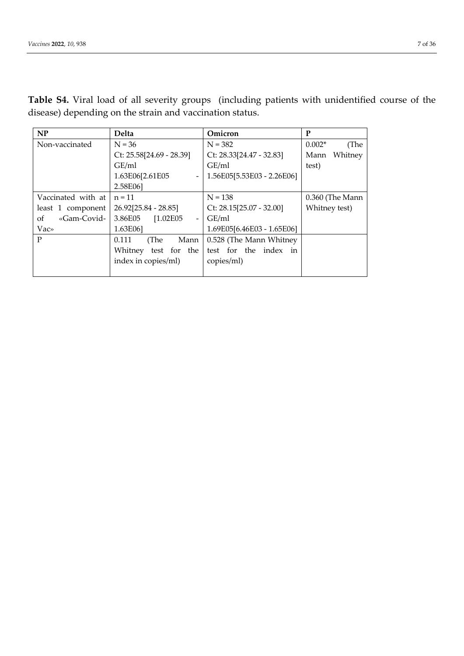| NP                 | <b>Delta</b>                                      | Omicron                    | P                |
|--------------------|---------------------------------------------------|----------------------------|------------------|
| Non-vaccinated     | $N = 36$                                          | $N = 382$                  | $0.002*$<br>(The |
|                    | Ct: 25.58[24.69 - 28.39]                          | Ct: 28.33[24.47 - 32.83]   | Whitney<br>Mann  |
|                    | GE/ml                                             | GE/ml                      | test)            |
|                    | 1.63E06[2.61E05                                   | 1.56E05[5.53E03 - 2.26E06] |                  |
|                    | 2.58E06]                                          |                            |                  |
| Vaccinated with at | $n = 11$                                          | $N = 138$                  | 0.360 (The Mann  |
| least 1 component  | $26.92[25.84 - 28.85]$                            | Ct: 28.15[25.07 - 32.00]   | Whitney test)    |
| «Gam-Covid-<br>of  | $[1.02E05$<br>3.86E05<br>$\overline{\phantom{a}}$ | GE/ml                      |                  |
| Vac»               | 1.63E06]                                          | 1.69E05[6.46E03 - 1.65E06] |                  |
| P                  | 0.111<br>Mann<br>(The                             | 0.528 (The Mann Whitney)   |                  |
|                    | test for the<br>Whitney                           | test for the index in      |                  |
|                    | index in copies/ml)                               | copies/ml)                 |                  |
|                    |                                                   |                            |                  |

**Table S4.** Viral load of all severity groups (including patients with unidentified course of the disease) depending on the strain and vaccination status.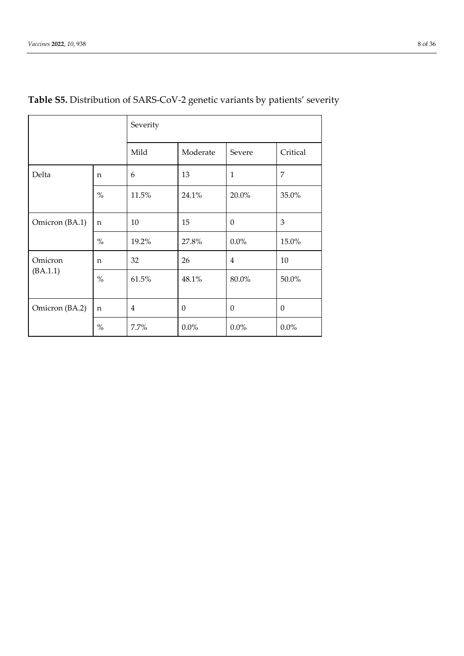|                |      | Severity       |          |                  |          |
|----------------|------|----------------|----------|------------------|----------|
|                |      | Mild           | Moderate | Severe           | Critical |
| Delta          | n    | 6              | 13       | $\mathbf{1}$     | 7        |
|                | $\%$ | 11.5%          | 24.1%    | 20.0%            | 35.0%    |
| Omicron (BA.1) | n    | 10             | 15       | $\theta$         | 3        |
|                | $\%$ | 19.2%          | 27.8%    | $0.0\%$          | 15.0%    |
| Omicron        | n    | 32             | 26       | $\overline{4}$   | 10       |
| (BA.1.1)       | $\%$ | 61.5%          | 48.1%    | 80.0%            | 50.0%    |
| Omicron (BA.2) | n    | $\overline{4}$ | $\Omega$ | $\boldsymbol{0}$ | $\theta$ |
|                | $\%$ | 7.7%           | $0.0\%$  | $0.0\%$          | $0.0\%$  |

# **Table S5.** Distribution of SARS-CoV-2 genetic variants by patients' severity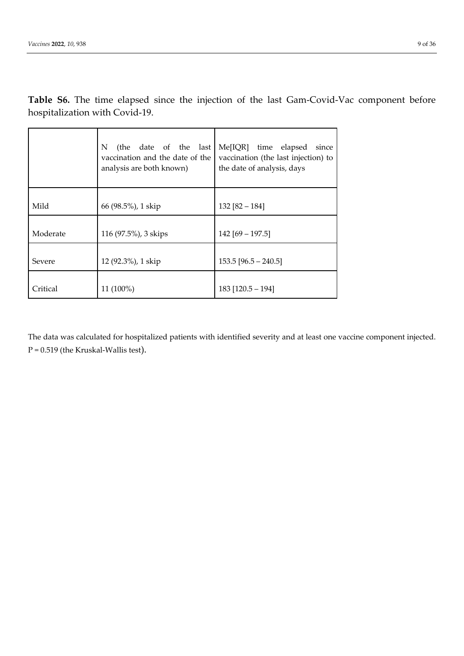**Table S6.** The time elapsed since the injection of the last Gam-Covid-Vac component before hospitalization with Covid-19.

|          | N<br>(the date of the last)<br>vaccination and the date of the<br>analysis are both known) | Me[IQR] time elapsed<br>since<br>vaccination (the last injection) to<br>the date of analysis, days |  |
|----------|--------------------------------------------------------------------------------------------|----------------------------------------------------------------------------------------------------|--|
| Mild     | 66 (98.5%), 1 skip                                                                         | 132 [ $82 - 184$ ]                                                                                 |  |
| Moderate | 116 (97.5%), 3 skips                                                                       | $142$ [69 – 197.5]                                                                                 |  |
| Severe   | 12 (92.3%), 1 skip                                                                         | $153.5$ [96.5 – 240.5]                                                                             |  |
| Critical | $11(100\%)$                                                                                | 183 [120.5 – 194]                                                                                  |  |

The data was calculated for hospitalized patients with identified severity and at least one vaccine component injected. P = 0.519 (the Kruskal-Wallis test).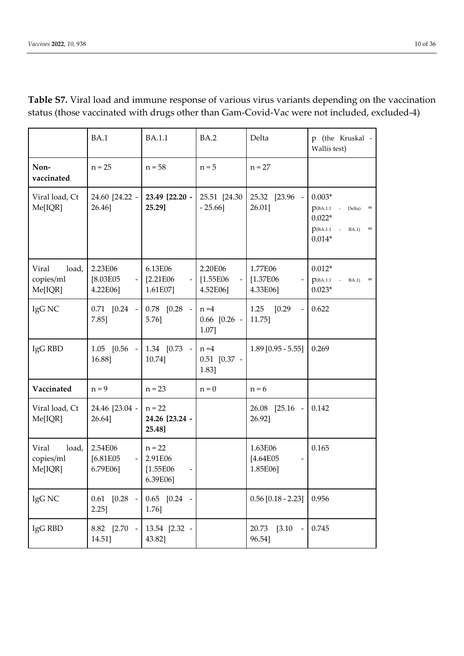|                                        | <b>BA.1</b>                                            | <b>BA.1.1</b>                                | BA.2                               | Delta                            | p (the Kruskal -<br>Wallis test)                                                                                                                 |
|----------------------------------------|--------------------------------------------------------|----------------------------------------------|------------------------------------|----------------------------------|--------------------------------------------------------------------------------------------------------------------------------------------------|
| Non-<br>vaccinated                     | $n = 25$                                               | $n = 58$                                     | $n = 5$                            | $n = 27$                         |                                                                                                                                                  |
| Viral load, Ct<br>Me[IQR]              | 24.60 [24.22 -<br>26.46]                               | 23.49 [22.20 -<br>25.29]                     | 25.51 [24.30]<br>$-25.66$ ]        | 25.32 [23.96]<br>26.01]          | $0.003*$<br>$p$ (BA.1.1<br>Delta)<br>$=$<br>$\overline{\phantom{a}}$<br>$0.022*$<br>$p$ (BA.1.1<br>BA.1)<br>$\overline{\phantom{a}}$<br>$0.014*$ |
| Viral<br>load,<br>copies/ml<br>Me[IQR] | 2.23E06<br>[8.03E05]<br>4.22E06]                       | 6.13E06<br>[2.21E06]<br>1.61E07]             | 2.20E06<br>[1.55E06]<br>4.52E06]   | 1.77E06<br>[1.37E06]<br>4.33E06] | $0.012*$<br>$p$ (BA.1.1<br>BA.1)<br>$\hspace{1.6cm} = \hspace{1.6cm}$<br>$\sim$<br>$0.023*$                                                      |
| IgG NC                                 | $0.71$ $[0.24$ -<br>7.85]                              | $0.78$ $[0.28$ -<br>5.76]                    | $n=4$<br>$0.66$ $[0.26$ -<br>1.07] | 1.25<br>[0.29]<br>$11.75$ ]      | 0.622                                                                                                                                            |
| IgG RBD                                | 1.05 [0.56]<br>16.88]                                  | 1.34 [0.73 -<br>10.74]                       | $n=4$<br>$0.51$ $[0.37$ -<br>1.83] | $1.89$ [0.95 - 5.55]             | 0.269                                                                                                                                            |
| Vaccinated                             | $n = 9$                                                | $n = 23$                                     | $n = 0$                            | $n = 6$                          |                                                                                                                                                  |
| Viral load, Ct<br>Me[IQR]              | 24.46 [23.04 -<br>26.64]                               | $n = 22$<br>24.26 [23.24 -<br>25.48]         |                                    | $[25.16 -$<br>26.08<br>26.92]    | 0.142                                                                                                                                            |
| Viral<br>load,<br>copies/ml<br>Me[IQR] | 2.54E06<br>[6.81E05]<br>6.79E06]                       | $n = 22$<br>2.91E06<br>[1.55E06]<br>6.39E06] |                                    | 1.63E06<br>[4.64E05]<br>1.85E06] | 0.165                                                                                                                                            |
| IgG NC                                 | [0.28]<br>0.61<br>$\overline{\phantom{a}}$<br>$2.25$ ] | $0.65$ $[0.24$ -<br>1.76]                    |                                    | $0.56$ [0.18 - 2.23]             | 0.956                                                                                                                                            |
| IgG RBD                                | 8.82 [2.70]<br>$\overline{\phantom{a}}$<br>14.51]      | 13.54 [2.32 -<br>43.82]                      |                                    | [3.10]<br>20.73<br>96.54]        | 0.745                                                                                                                                            |

**Table S7.** Viral load and immune response of various virus variants depending on the vaccination status (those vaccinated with drugs other than Gam-Covid-Vac were not included, excluded-4)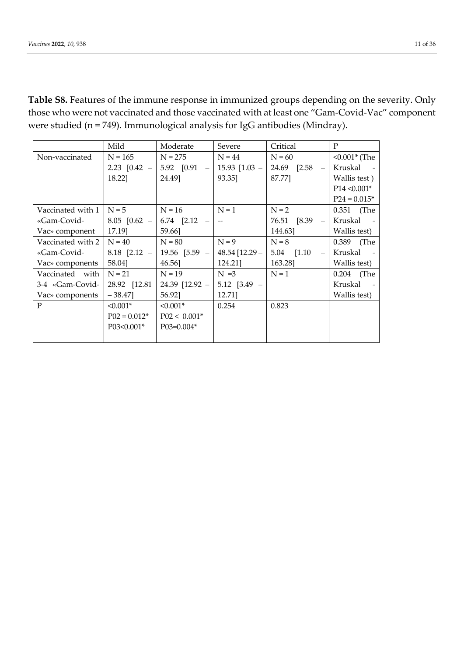**Table S8.** Features of the immune response in immunized groups depending on the severity. Only those who were not vaccinated and those vaccinated with at least one "Gam-Covid-Vac" component were studied (n = 749). Immunological analysis for IgG antibodies (Mindray).

|                   | Mild              | Moderate                          | Severe           | Critical                               | P                           |
|-------------------|-------------------|-----------------------------------|------------------|----------------------------------------|-----------------------------|
| Non-vaccinated    | $N = 165$         | $N = 275$                         | $N = 44$         | $N = 60$                               | $< 0.001$ <sup>*</sup> (The |
|                   | $2.23$ $[0.42 -$  | $5.92$ $[0.91 - 15.93]$ $[1.03 -$ |                  | $24.69$ $[2.58 -$                      | Kruskal                     |
|                   | 18.22]            | 24.49]                            | 93.35]           | 87.77]                                 | Wallis test)                |
|                   |                   |                                   |                  |                                        | $P14 < 0.001*$              |
|                   |                   |                                   |                  |                                        | $P24 = 0.015*$              |
| Vaccinated with 1 | $N = 5$           | $N = 16$                          | $N = 1$          | $N = 2$                                | 0.351 (The                  |
| «Gam-Covid-       | $8.05$ $[0.62 -]$ | $6.74$ $[2.12 -]$                 |                  | 76.51<br>$[8.39 -$                     | Kruskal -                   |
| Vac» component    | 17.19]            | 59.66]                            |                  | 144.63]                                | Wallis test)                |
| Vaccinated with 2 | $N = 40$          | $N = 80$                          | $N = 9$          | $N = 8$                                | 0.389 (The                  |
| «Gam-Covid-       |                   | $8.18$ [2.12 - 19.56 [5.59 -      | 48.54 [12.29 –   | 5.04 [1.10<br>$\overline{\phantom{m}}$ | Kruskal                     |
| Vac» components   | 58.04]            | 46.56]                            | 124.21]          | 163.28]                                | Wallis test)                |
| Vaccinated with   | $N = 21$          | $N = 19$                          | $N = 3$          | $N = 1$                                | 0.204 (The                  |
| 3-4 «Gam-Covid-   | 28.92 [12.81]     | $24.39$ [12.92 -                  | $5.12$ $[3.49 -$ |                                        | Kruskal                     |
| Vac» components   | $-38.47$ ]        | 56.92]                            | 12.71]           |                                        | Wallis test)                |
| P                 | $< 0.001*$        | $< 0.001*$                        | 0.254            | 0.823                                  |                             |
|                   | $P02 = 0.012*$    | $P02 < 0.001*$                    |                  |                                        |                             |
|                   | P03<0.001*        | $P03=0.004*$                      |                  |                                        |                             |
|                   |                   |                                   |                  |                                        |                             |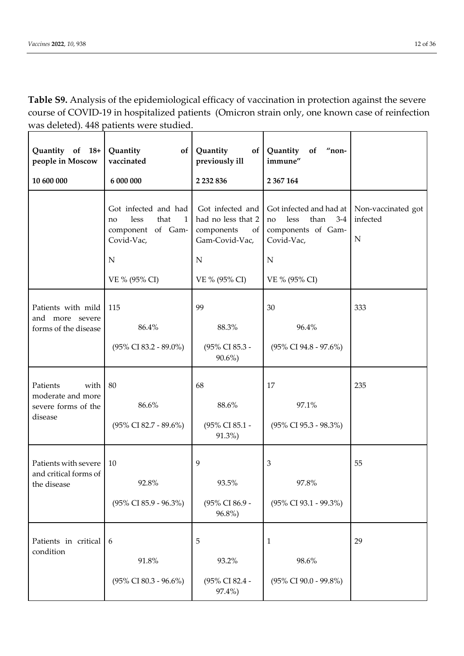| Quantity of 18+<br>people in Moscow                                     | Quantity<br>of<br>vaccinated                                                                       | Quantity<br>of <sub>1</sub><br>previously ill                                             | Quantity<br>$1$ non-<br>of<br>immune"                                                                     |                                               |
|-------------------------------------------------------------------------|----------------------------------------------------------------------------------------------------|-------------------------------------------------------------------------------------------|-----------------------------------------------------------------------------------------------------------|-----------------------------------------------|
| 10 600 000                                                              | 6 000 000                                                                                          | 2 2 3 2 8 3 6                                                                             | 2 367 164                                                                                                 |                                               |
|                                                                         | Got infected and had<br>less<br>that<br>1<br>no<br>of Gam-<br>component<br>Covid-Vac,<br>${\bf N}$ | Got infected and<br>had no less that 2<br>components<br>of<br>Gam-Covid-Vac,<br>${\bf N}$ | Got infected and had at<br>than<br>$3-4$<br>less<br>no<br>components of Gam-<br>Covid-Vac,<br>$\mathbf N$ | Non-vaccinated got<br>infected<br>$\mathbf N$ |
|                                                                         | VE % (95% CI)                                                                                      | VE % (95% CI)                                                                             | VE % (95% CI)                                                                                             |                                               |
| Patients with mild<br>and more severe                                   | 115                                                                                                | 99                                                                                        | 30                                                                                                        | 333                                           |
| forms of the disease                                                    | 86.4%<br>$(95\% \text{ CI } 83.2 - 89.0\%)$                                                        | 88.3%<br>(95% CI 85.3 -<br>$90.6\%$                                                       | 96.4%<br>$(95\% \text{ CI } 94.8 - 97.6\%)$                                                               |                                               |
| Patients<br>with<br>moderate and more<br>severe forms of the<br>disease | 80<br>86.6%<br>$(95\% \text{ CI } 82.7 - 89.6\%)$                                                  | 68<br>88.6%<br>(95% CI 85.1 -<br>91.3%)                                                   | 17<br>97.1%<br>$(95\% \text{ CI } 95.3 - 98.3\%)$                                                         | 235                                           |
| Patients with severe<br>and critical forms of<br>the disease            | 10<br>92.8%<br>$(95\% \text{ CI } 85.9 - 96.3\%)$                                                  | 9<br>93.5%<br>(95% CI 86.9 -<br>96.8%)                                                    | 3<br>97.8%<br>$(95\% \text{ CI } 93.1 - 99.3\%)$                                                          | 55                                            |
| Patients in critical<br>condition                                       | 6<br>91.8%<br>$(95\% \text{ CI } 80.3 - 96.6\%)$                                                   | $\mathbf 5$<br>93.2%<br>(95% CI 82.4 -<br>97.4%)                                          | $\mathbf{1}$<br>98.6%<br>$(95\% \text{ CI } 90.0 - 99.8\%)$                                               | 29                                            |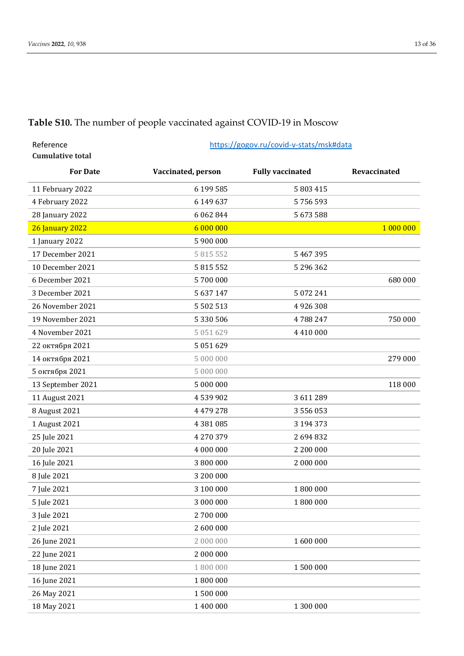| Reference               | https://gogov.ru/covid-v-stats/msk#data |                         |              |
|-------------------------|-----------------------------------------|-------------------------|--------------|
| <b>Cumulative total</b> |                                         |                         |              |
| <b>For Date</b>         | Vaccinated, person                      | <b>Fully vaccinated</b> | Revaccinated |
| 11 February 2022        | 6 199 5 85                              | 5 803 415               |              |
| 4 February 2022         | 6 149 637                               | 5756593                 |              |
| 28 January 2022         | 6 0 6 2 8 4 4                           | 5673588                 |              |
| 26 January 2022         | 6 000 000                               |                         | 1 000 000    |
| 1 January 2022          | 5900000                                 |                         |              |
| 17 December 2021        | 5 815 552                               | 5 467 395               |              |
| 10 December 2021        | 5815552                                 | 5 296 362               |              |
| 6 December 2021         | 5700000                                 |                         | 680 000      |
| 3 December 2021         | 5 637 147                               | 5 0 7 2 2 4 1           |              |
| 26 November 2021        | 5 5 0 2 5 1 3                           | 4926308                 |              |
| 19 November 2021        | 5 330 506                               | 4788247                 | 750 000      |
| 4 November 2021         | 5 0 5 1 6 2 9                           | 4 4 1 0 0 0 0           |              |
| 22 октября 2021         | 5 0 5 1 6 2 9                           |                         |              |
| 14 октября 2021         | 5 000 000                               |                         | 279 000      |
| 5 октября 2021          | 5 000 000                               |                         |              |
| 13 September 2021       | 5 000 000                               |                         | 118 000      |
| 11 August 2021          | 4539902                                 | 3 611 289               |              |
| 8 August 2021           | 4479278                                 | 3556053                 |              |
| 1 August 2021           | 4 3 8 1 0 8 5                           | 3 194 373               |              |
| 25 Jule 2021            | 4 270 379                               | 2694832                 |              |
| 20 Jule 2021            | 4 000 000                               | 2 200 000               |              |
| 16 Jule 2021            | 3800000                                 | 2 000 000               |              |
| 8 Jule 2021             | 3 200 000                               |                         |              |
| 7 Jule 2021             | 3 100 000                               | 1800000                 |              |
| 5 Jule 2021             | 3 000 000                               | 1800000                 |              |
| 3 Jule 2021             | 2700000                                 |                         |              |
| 2 Jule 2021             | 2 600 000                               |                         |              |
| 26 June 2021            | 2 000 000                               | 1600000                 |              |
| 22 June 2021            | 2 000 000                               |                         |              |
| 18 June 2021            | 1800000                                 | 1500000                 |              |
| 16 June 2021            | 1800000                                 |                         |              |
| 26 May 2021             | 1500000                                 |                         |              |
| 18 May 2021             | 1400000                                 | 1 300 000               |              |

# **Table S10.** The number of people vaccinated against COVID-19 in Moscow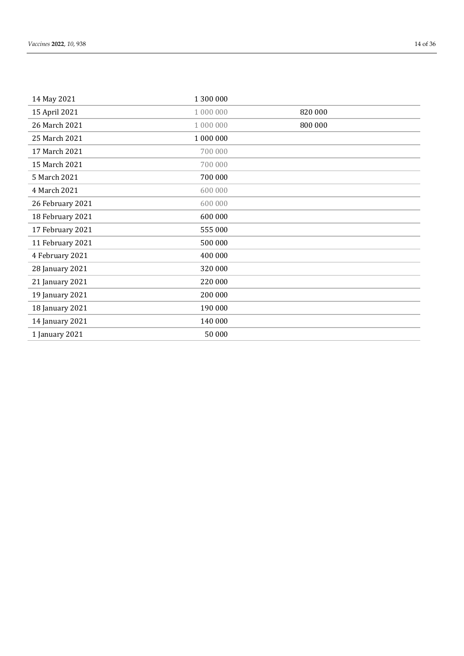| 14 May 2021      | 1 300 000 |         |
|------------------|-----------|---------|
| 15 April 2021    | 1 000 000 | 820 000 |
| 26 March 2021    | 1 000 000 | 800 000 |
| 25 March 2021    | 1 000 000 |         |
| 17 March 2021    | 700 000   |         |
| 15 March 2021    | 700 000   |         |
| 5 March 2021     | 700 000   |         |
| 4 March 2021     | 600 000   |         |
| 26 February 2021 | 600 000   |         |
| 18 February 2021 | 600 000   |         |
| 17 February 2021 | 555 000   |         |
| 11 February 2021 | 500 000   |         |
| 4 February 2021  | 400 000   |         |
| 28 January 2021  | 320 000   |         |
| 21 January 2021  | 220 000   |         |
| 19 January 2021  | 200 000   |         |
| 18 January 2021  | 190 000   |         |
| 14 January 2021  | 140 000   |         |
| 1 January 2021   | 50 000    |         |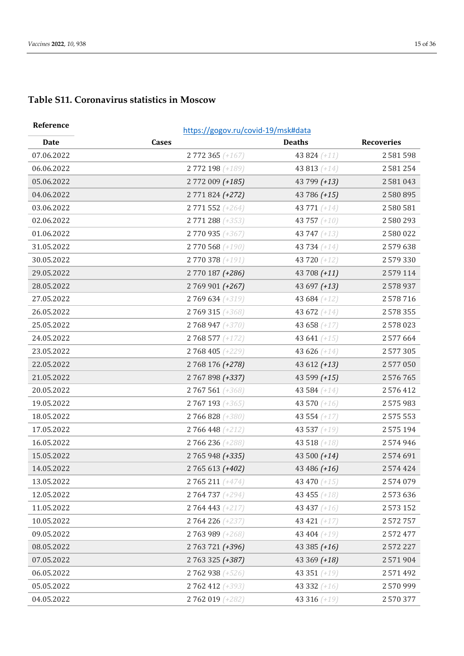#### **Table S11. Coronavirus statistics in Moscow**

| Reference  | https://gogov.ru/covid-19/msk#data |                |                   |  |
|------------|------------------------------------|----------------|-------------------|--|
| Date       | Cases                              | <b>Deaths</b>  | <b>Recoveries</b> |  |
| 07.06.2022 | 2772 365 (+167)                    | 43 824 $(+11)$ | 2 5 8 1 5 9 8     |  |
| 06.06.2022 | 2772 198 (+189)                    | 43 813 (+14)   | 2 5 8 1 2 5 4     |  |
| 05.06.2022 | 2772 009 (+185)                    | 43 799 $(+13)$ | 2 581 043         |  |
| 04.06.2022 | 2771824 (+272)                     | 43 786 $(+15)$ | 2 580 895         |  |
| 03.06.2022 | $2771552 (+264)$                   | 43 771 $(+14)$ | 2 580 581         |  |
| 02.06.2022 | 2771288 (+353)                     | 43 757 (+10)   | 2 580 293         |  |
| 01.06.2022 | 2770935 (+367)                     | 43 747 (+13)   | 2 580 022         |  |
| 31.05.2022 | 2770 568 (+190)                    | 43 734 (+14)   | 2579638           |  |
| 30.05.2022 | 2770378 (+191)                     | 43 720 $(+12)$ | 2579330           |  |
| 29.05.2022 | 2 770 187 (+286)                   | 43 708 $(+11)$ | 2 579 114         |  |
| 28.05.2022 | 2 769 901 (+267)                   | 43 697 $(+13)$ | 2 578 937         |  |
| 27.05.2022 | 2769634 (+319)                     | 43 684 (+12)   | 2 578 716         |  |
| 26.05.2022 | 2769315 (+368)                     | 43 672 (+14)   | 2 578 355         |  |
| 25.05.2022 | 2768947 (+370)                     | 43 658 (+17)   | 2 578 023         |  |
| 24.05.2022 | 2768577 (+172)                     | 43 641 (+15)   | 2 577 664         |  |
| 23.05.2022 | $2768405 (+229)$                   | 43 626 (+14)   | 2 577 305         |  |
| 22.05.2022 | 2768176 (+278)                     | 43 612 $(+13)$ | 2 577 050         |  |
| 21.05.2022 | 2 767 898 (+337)                   | 43 599 $(+15)$ | 2 576 765         |  |
| 20.05.2022 | 2767561 (+368)                     | 43 584 (+14)   | 2 576 412         |  |
| 19.05.2022 | $2767193 (+365)$                   | 43 570 (+16)   | 2 575 983         |  |
| 18.05.2022 | 2766828 (+380)                     | 43 554 (+17)   | 2 5 7 5 5 5 3     |  |
| 17.05.2022 | 2766448 (+212)                     | 43 537 (+19)   | 2 575 194         |  |
| 16.05.2022 | 2766236 (+288)                     | 43 518 (+18)   | 2574946           |  |
| 15.05.2022 | 2 765 948 (+335)                   | 43 500 $(+14)$ | 2 574 691         |  |
| 14.05.2022 | 2 765 613 (+402)                   | 43 486 (+16)   | 2 574 424         |  |
| 13.05.2022 | $2765211 (+474)$                   | 43 470 (+15)   | 2574079           |  |
| 12.05.2022 | 2764737 (+294)                     | 43 455 (+18)   | 2 573 636         |  |
| 11.05.2022 | $2764443 (+217)$                   | 43 437 (+16)   | 2 5 7 3 1 5 2     |  |
| 10.05.2022 | 2764226 (+237)                     | 43 421 $(+17)$ | 2 572 757         |  |
| 09.05.2022 | 2763989 (+268)                     | 43 404 (+19)   | 2 572 477         |  |
| 08.05.2022 | 2 763 721 (+396)                   | 43 385 $(+16)$ | 2 572 227         |  |
| 07.05.2022 | 2763325 (+387)                     | 43 369 $(+18)$ | 2571904           |  |
| 06.05.2022 | 2762938 (+526)                     | 43 351 (+19)   | 2 571 492         |  |
| 05.05.2022 | 2762412 (+393)                     | 43 332 $(+16)$ | 2570999           |  |
| 04.05.2022 | 2762019 (+282)                     | 43 316 (+19)   | 2 570 377         |  |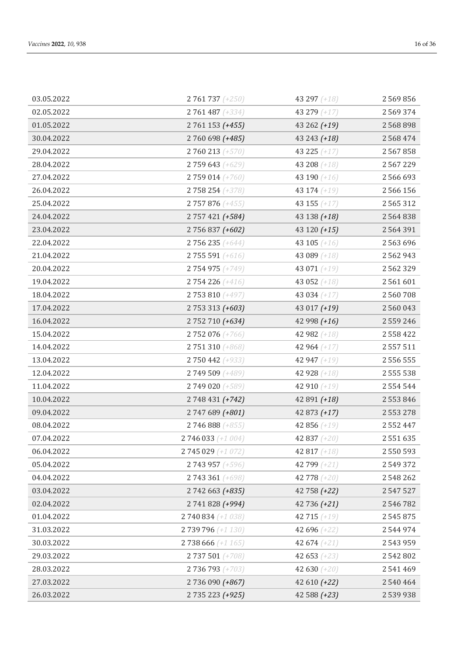| 03.05.2022 | $2761737 (+250)$  | 43 297 (+18)   | 2 5 6 9 8 5 6 |
|------------|-------------------|----------------|---------------|
| 02.05.2022 | 2761487 (+334)    | 43 279 (+17)   | 2 5 6 9 3 7 4 |
| 01.05.2022 | 2 761 153 (+455)  | 43 262 (+19)   | 2 5 6 8 8 9 8 |
| 30.04.2022 | 2760 698 (+485)   | 43 243 (+18)   | 2 5 6 8 4 7 4 |
| 29.04.2022 | $2760213 (+570)$  | 43 225 $(+17)$ | 2 5 6 7 8 5 8 |
| 28.04.2022 | $2759643 (+629)$  | 43 208 (+18)   | 2 5 6 7 2 2 9 |
| 27.04.2022 | $2759014 (+760)$  | 43 190 (+16)   | 2 566 693     |
| 26.04.2022 | 2758254 (+378)    | 43 174 (+19)   | 2 566 156     |
| 25.04.2022 | 2757876 (+455)    | 43 155 $(+17)$ | 2 5 6 5 3 1 2 |
| 24.04.2022 | 2 757 421 (+584)  | 43 138 $(+18)$ | 2 5 6 4 8 3 8 |
| 23.04.2022 | 2 756 837 (+602)  | 43 120 $(+15)$ | 2 5 6 4 3 9 1 |
| 22.04.2022 | $2756235 (+644)$  | 43 105 $(+16)$ | 2 5 6 3 6 9 6 |
| 21.04.2022 | 2755 591 (+616)   | 43 089 (+18)   | 2 5 6 2 9 4 3 |
| 20.04.2022 | $2754975 (+749)$  | 43 071 (+19)   | 2 5 6 2 3 2 9 |
| 19.04.2022 | 2 754 226 (+416)  | 43 052 (+18)   | 2 5 6 1 6 0 1 |
| 18.04.2022 | $2753810 (+497)$  | 43 034 $(+17)$ | 2 560 708     |
| 17.04.2022 | 2 753 313 (+603)  | 43 017 $(+19)$ | 2 560 043     |
| 16.04.2022 | 2 752 710 (+634)  | 42 998 (+16)   | 2 5 5 9 2 4 6 |
| 15.04.2022 | 2752076 (+766)    | 42 982 (+18)   | 2 5 5 8 4 2 2 |
| 14.04.2022 | 2751310 (+868)    | 42 964 (+17)   | 2 5 5 7 5 1 1 |
| 13.04.2022 | 2750442 (+933)    | 42 947 (+19)   | 2 556 555     |
| 12.04.2022 | 2749509 (+489)    | 42 928 (+18)   | 2 5 5 5 5 3 8 |
| 11.04.2022 | 2749 020 (+589)   | 42 910 (+19)   | 2 5 5 4 5 4 4 |
| 10.04.2022 | 2 748 431 (+742)  | 42 891 $(+18)$ | 2 5 5 3 8 4 6 |
| 09.04.2022 | 2747689 (+801)    | 42 873 $(+17)$ | 2 5 5 3 2 7 8 |
| 08.04.2022 | 2746888 (+855)    | 42 856 (+19)   | 2 5 5 2 4 4 7 |
| 07.04.2022 | 2746 033 (+1 004) | 42 837 (+20)   | 2 5 5 1 6 3 5 |
| 06.04.2022 | 2745 029 (+1 072) | 42 817 (+18)   | 2 550 593     |
| 05.04.2022 | 2743957 (+596)    | 42 799 (+21)   | 2 549 372     |
| 04.04.2022 | 2743361 (+698)    | 42 778 (+20)   | 2 548 262     |
| 03.04.2022 | 2 742 663 (+835)  | 42 758 (+22)   | 2 5 4 7 5 2 7 |
| 02.04.2022 | 2741828 (+994)    | 42 736 (+21)   | 2 546 782     |
| 01.04.2022 | 2740834 (+1038)   | 42 715 (+19)   | 2 5 4 5 8 7 5 |
| 31.03.2022 | 2739796 (+1 130)  | 42 696 (+22)   | 2 544 974     |
| 30.03.2022 | 2738 666 (+1165)  | 42 674 (+21)   | 2 543 959     |
| 29.03.2022 | $2737501 (+708)$  | 42 653 $(+23)$ | 2 542 802     |
| 28.03.2022 | 2736793 (+703)    | 42 630 (+20)   | 2 541 469     |
| 27.03.2022 | 2736 090 (+867)   | 42 $610 (+22)$ | 2 540 464     |
| 26.03.2022 | 2735223 (+925)    | 42 588 (+23)   | 2 539 938     |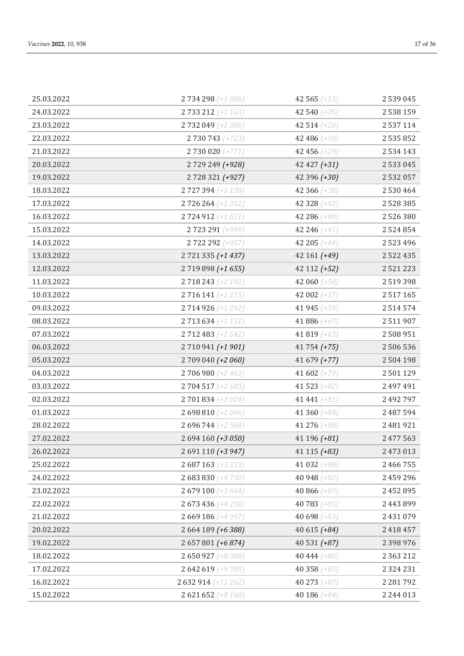| 25.03.2022 | 2734 298 (+1 086)   | 42 565 $(+25)$ | 2 539 045     |
|------------|---------------------|----------------|---------------|
| 24.03.2022 | 2733 212 (+1 163)   | 42 540 (+26)   | 2 538 159     |
| 23.03.2022 | 2732049 (+1306)     | 42 514 $(+28)$ | 2 5 3 7 1 1 4 |
| 22.03.2022 | 2730743 (+723)      | 42 486 (+30)   | 2 5 3 5 8 5 2 |
| 21.03.2022 | $2730020 (+771)$    | 42 456 $(+29)$ | 2 5 3 4 1 4 3 |
| 20.03.2022 | 2729249 (+928)      | 42 427 (+31)   | 2 5 3 3 0 4 5 |
| 19.03.2022 | 2728321(+927)       | 42 396 (+30)   | 2 5 3 2 0 5 7 |
| 18.03.2022 | 2727394 (+1 130)    | 42 366 (+38)   | 2 530 464     |
| 17.03.2022 | 2 726 264 (+1 352)  | 42 328 (+42)   | 2 5 2 8 3 8 5 |
| 16.03.2022 | 2724912 (+1 621)    | 42 286 (+40)   | 2 5 2 6 3 8 0 |
| 15.03.2022 | 2723 291 (+999)     | 42 246 $(+41)$ | 2 5 2 4 8 5 4 |
| 14.03.2022 | 2722 292 (+957)     | 42 205 (+44)   | 2 5 2 3 4 9 6 |
| 13.03.2022 | 2721335 (+1437)     | 42 161 (+49)   | 2 5 2 2 4 3 5 |
| 12.03.2022 | 2719898 (+1655)     | 42 112 (+52)   | 2 5 2 1 2 2 3 |
| 11.03.2022 | 2718243 (+2 102)    | 42 060 (+58)   | 2519398       |
| 10.03.2022 | 2716 141 (+1215)    | 42 002 $(+57)$ | 2 5 1 7 1 6 5 |
| 09.03.2022 | 2714926 (+1292)     | 41 945 (+59)   | 2514574       |
| 08.03.2022 | 2 713 634 (+1 151)  | 41 886 (+67)   | 2 5 1 1 9 0 7 |
| 07.03.2022 | 2 712 483 (+1 542)  | 41 819 $(+65)$ | 2 508 951     |
| 06.03.2022 | 2710941 (+1901)     | $41754 (+75)$  | 2 506 536     |
| 05.03.2022 | 2 709 040 (+2 060)  | $41679 (+77)$  | 2 504 198     |
| 04.03.2022 | 2706 980 (+2463)    | 41 602 $(+79)$ | 2 501 129     |
| 03.03.2022 | 2704 517 (+2 683)   | 41 523 (+82)   | 2 497 491     |
| 02.03.2022 | $2701834 (+3024)$   | 41 441 $(+81)$ | 2 492 797     |
| 01.03.2022 | 2 698 810 (+2 066)  | 41 360 (+84)   | 2 487 594     |
| 28.02.2022 | 2 696 744 (+2 584)  | 41 276 (+80)   | 2 481 921     |
| 27.02.2022 | 2 694 160 (+3 050)  | $41196 (+81)$  | 2 477 563     |
| 26.02.2022 | 2 691 110 (+3 947)  | $41115 (+83)$  | 2 473 013     |
| 25.02.2022 | $2687163 (+3333)$   | 41 032 (+84)   | 2 466 755     |
| 24.02.2022 | $2683830 (+4730)$   | 40 948 (+82)   | 2 459 296     |
| 23.02.2022 | $2679100 (+5664)$   | 40 866 (+83)   | 2 452 895     |
| 22.02.2022 | 2 673 436 (+4 250)  | 40 783 (+85)   | 2 443 899     |
| 21.02.2022 | 2 669 186 (+4 997)  | 40 698 (+83)   | 2 431 079     |
| 20.02.2022 | 2 664 189 (+6 388)  | 40 615 (+84)   | 2 4 1 8 4 5 7 |
| 19.02.2022 | 2 657 801 (+6 874)  | $40531 (+87)$  | 2 3 9 9 9 7 6 |
| 18.02.2022 | 2650927 (+8308)     | 40 444 (+86)   | 2 3 6 3 2 1 2 |
| 17.02.2022 | $2642619 (+9705)$   | 40 358 $(+85)$ | 2 3 2 4 2 3 1 |
| 16.02.2022 | 2 632 914 (+11 262) | 40 273 (+87)   | 2 2 8 1 7 9 2 |
| 15.02.2022 | 2 621 652 (+8 160)  | 40 186 (+84)   | 2 2 4 0 1 3   |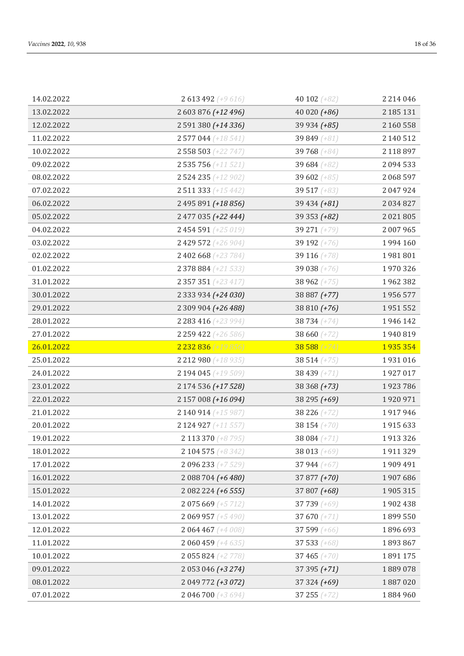| 14.02.2022 | 2 613 492 (+9 616)            | 40 102 (+82)   | 2 2 1 4 0 4 6 |
|------------|-------------------------------|----------------|---------------|
| 13.02.2022 | 2 603 876 (+12 496)           | $40020 (+86)$  | 2 185 131     |
| 12.02.2022 | 2 591 380 (+14 336)           | 39 934 (+85)   | 2 160 558     |
| 11.02.2022 | $2577044 (+18541)$            | 39 849 $(+81)$ | 2 140 512     |
| 10.02.2022 | 2 558 503 $(+22, 747)$        | 39 768 (+84)   | 2 118 897     |
| 09.02.2022 | 2 535 756 (+11 521)           | 39 684 $(+82)$ | 2 0 9 4 5 3 3 |
| 08.02.2022 | 2 524 235 (+12 902)           | 39 602 $(+85)$ | 2 068 597     |
| 07.02.2022 | $2511333 (+15442)$            | 39 517 $(+83)$ | 2 047 924     |
| 06.02.2022 | 2 495 891 (+18 856)           | 39 434 (+81)   | 2 0 3 4 8 2 7 |
| 05.02.2022 | 2 477 035 (+22 444)           | 39 353 (+82)   | 2 0 2 1 8 0 5 |
| 04.02.2022 | $2454591 (+25019)$            | 39 271 $(+79)$ | 2 007 965     |
| 03.02.2022 | 2 429 572 (+26 904)           | 39 192 (+76)   | 1994 160      |
| 02.02.2022 | <b>2 402 668</b> $(+23\,784)$ | 39 116 $(+78)$ | 1981801       |
| 01.02.2022 | 2 378 884 (+21 533)           | 39 038 $(+76)$ | 1970326       |
| 31.01.2022 | $2357351 (+23417)$            | 38 962 $(+75)$ | 1962382       |
| 30.01.2022 | 2 333 934 (+24 030)           | 38 887 (+77)   | 1956577       |
| 29.01.2022 | 2 309 904 (+26 488)           | $38810 (+76)$  | 1951552       |
| 28.01.2022 | 2 283 416 (+23 994)           | 38 734 $(+74)$ | 1946142       |
| 27.01.2022 | 2 259 422 (+26 586)           | 38 660 $(+72)$ | 1940819       |
| 26.01.2022 | 2 232 836 (+19 856)           | 38 588 $(+74)$ | 1935354       |
| 25.01.2022 | 2 212 980 (+18 935)           | 38 514 $(+75)$ | 1931016       |
| 24.01.2022 | 2 194 045 (+19 509)           | 38 439 (+71)   | 1927017       |
| 23.01.2022 | 2 174 536 (+17 528)           | 38 368 (+73)   | 1923786       |
| 22.01.2022 | 2 157 008 (+16 094)           | 38 295 (+69)   | 1920971       |
| 21.01.2022 | 2 140 914 (+15 987)           | 38 226 (+72)   | 1917946       |
| 20.01.2022 | 2 124 927 (+11 557)           | 38 154 $(+70)$ | 1915633       |
| 19.01.2022 | 2 113 370 (+8 795)            | 38 084 $(+71)$ | 1913326       |
| 18.01.2022 | 2 104 575 (+8 342)            | 38 013 (+69)   | 1911329       |
| 17.01.2022 | $2096233 (+7529)$             | 37 944 (+67)   | 1909491       |
| 16.01.2022 | 2 088 704 (+6 480)            | $37877 (+70)$  | 1907686       |
| 15.01.2022 | 2 082 224 (+6 555)            | $37807 (+68)$  | 1905315       |
| 14.01.2022 | $2075669 (+5712)$             | 37 739 (+69)   | 1902438       |
| 13.01.2022 | $2069957 (+5490)$             | 37 670 $(+71)$ | 1899550       |
| 12.01.2022 | 2 064 467 (+4 008)            | 37 599 $(+66)$ | 1896693       |
| 11.01.2022 | $2060459 (+4635)$             | 37 533 $(+68)$ | 1893867       |
| 10.01.2022 | 2 055 824 (+2 778)            | 37 465 $(+70)$ | 1891175       |
| 09.01.2022 | 2 053 046 (+3 274)            | $37395 (+71)$  | 1889078       |
| 08.01.2022 | 2 049 772 (+3 072)            | $37324 (+69)$  | 1887020       |
| 07.01.2022 | 2 046 700 (+3 694)            | 37 255 $(+72)$ | 1884960       |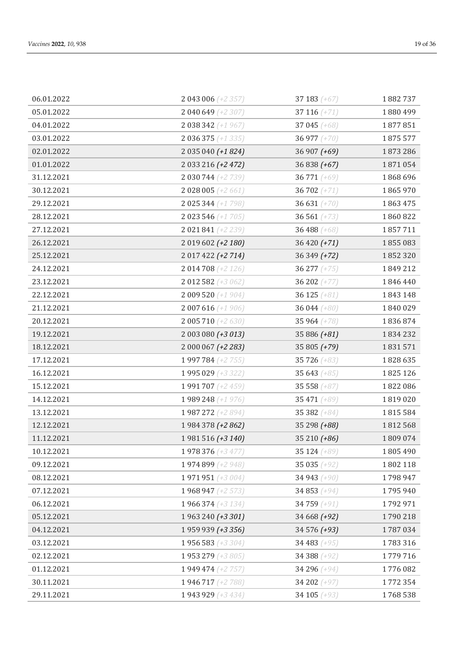| 06.01.2022 | $2043006 (+2357)$  | 37 183 $(+67)$ | 1882737  |
|------------|--------------------|----------------|----------|
| 05.01.2022 | 2 040 649 (+2 307) | 37 116 $(+71)$ | 1880499  |
| 04.01.2022 | 2 038 342 (+1 967) | 37 045 $(+68)$ | 1877851  |
| 03.01.2022 | $2036375 (+1335)$  | 36 977 $(+70)$ | 1875577  |
| 02.01.2022 | 2 035 040 (+1 824) | $36907 (+69)$  | 1873286  |
| 01.01.2022 | 2 033 216 (+2 472) | $36838 (+67)$  | 1871054  |
| 31.12.2021 | 2 030 744 (+2 739) | 36 771 (+69)   | 1868696  |
| 30.12.2021 | $2028005 (+2661)$  | 36 702 $(+71)$ | 1865970  |
| 29.12.2021 | 2 025 344 (+1 798) | 36 631 $(+70)$ | 1863475  |
| 28.12.2021 | $2023546 (+1705)$  | 36 561 $(+73)$ | 1860822  |
| 27.12.2021 | 2 021 841 (+2 239) | 36 488 $(+68)$ | 1857711  |
| 26.12.2021 | 2 019 602 (+2 180) | $36420 (+71)$  | 1855083  |
| 25.12.2021 | 2 017 422 (+2 714) | 36 349 (+72)   | 1852320  |
| 24.12.2021 | 2014708 (+2126)    | 36 277 $(+75)$ | 1849212  |
| 23.12.2021 | 2012 582 (+3 062)  | 36 202 $(+77)$ | 1846440  |
| 22.12.2021 | $2009520 (+1904)$  | 36 125 $(+81)$ | 1843148  |
| 21.12.2021 | $2007616 (+1906)$  | 36 044 (+80)   | 1840029  |
| 20.12.2021 | $2005710 (+2630)$  | 35 964 $(+78)$ | 1836874  |
| 19.12.2021 | 2 003 080 (+3 013) | $35886 (+81)$  | 1834232  |
| 18.12.2021 | 2 000 067 (+2 283) | $35805 (+79)$  | 1831571  |
| 17.12.2021 | 1997 784 (+2 755)  | 35 726 (+83)   | 1828635  |
| 16.12.2021 | 1995 029 (+3 322)  | 35 643 $(+85)$ | 1825126  |
| 15.12.2021 | 1991707 (+2459)    | 35 558 $(+87)$ | 1822086  |
| 14.12.2021 | 1989 248 (+1976)   | 35 471 $(+89)$ | 1819020  |
| 13.12.2021 | 1987 272 (+2 894)  | 35 382 $(+84)$ | 1815584  |
| 12.12.2021 | 1984 378 (+2 862)  | 35 298 (+88)   | 1812568  |
| 11.12.2021 | 1981516 (+3 140)   | $35210 (+86)$  | 1809074  |
| 10.12.2021 | 1978 376 (+3477)   | 35 124 $(+89)$ | 1805490  |
| 09.12.2021 | 1974 899 (+2 948)  | 35 035 $(+92)$ | 1802118  |
| 08.12.2021 | 1971951 (+3 004)   | 34 943 (+90)   | 1798947  |
| 07.12.2021 | 1968 947 (+2 573)  | 34 853 $(+94)$ | 1795940  |
| 06.12.2021 | 1966 374 (+3 134)  | 34 759 (+91)   | 1792971  |
| 05.12.2021 | 1963 240 (+3 301)  | 34 668 (+92)   | 1790218  |
| 04.12.2021 | 1959939 (+3356)    | 34 576 (+93)   | 1787034  |
| 03.12.2021 | 1956 583 (+3 304)  | 34 483 (+95)   | 1783316  |
| 02.12.2021 | 1953 279 (+3 805)  | 34 388 (+92)   | 1779716  |
| 01.12.2021 | 1949 474 (+2 757)  | 34 296 (+94)   | 1776 082 |
| 30.11.2021 | 1946 717 (+2 788)  | 34 202 $(+97)$ | 1772354  |
| 29.11.2021 | 1943 929 (+3434)   | 34 105 $(+93)$ | 1768 538 |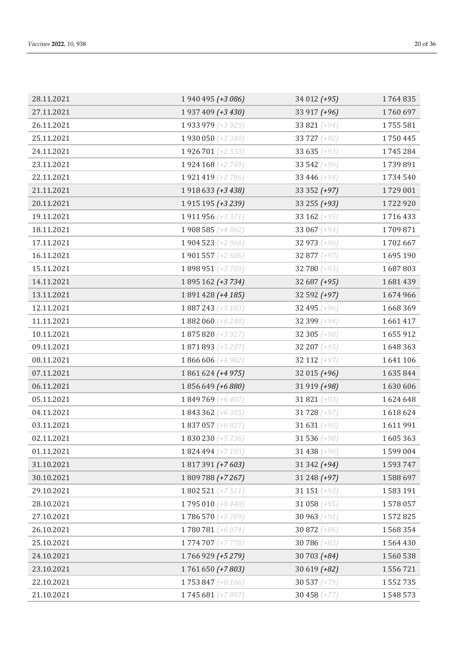| 28.11.2021 | 1 940 495 (+3 086)        | 34 012 (+95)   | 1764835  |
|------------|---------------------------|----------------|----------|
| 27.11.2021 | 1937 409 (+3 430)         | 33 917 (+96)   | 1760697  |
| 26.11.2021 | 1933 979 (+3 929)         | 33 821 $(+94)$ | 1755581  |
| 25.11.2021 | 1930 050 (+3349)          | 33 727 (+92)   | 1750445  |
| 24.11.2021 | 1926 701 (+2 533)         | 33 635 $(+93)$ | 1745284  |
| 23.11.2021 | 1924 168 (+2 749)         | 33 542 $(+96)$ | 1739891  |
| 22.11.2021 | 1921419 (+2 786)          | 33 446 (+94)   | 1734540  |
| 21.11.2021 | 1918 633 (+3438)          | 33 352 (+97)   | 1729 001 |
| 20.11.2021 | 1915 195 (+3 239)         | 33 255 (+93)   | 1722920  |
| 19.11.2021 | 1911956 (+3371)           | 33 162 $(+95)$ | 1716433  |
| 18.11.2021 | 1908 585 (+4 062)         | 33 067 $(+94)$ | 1709871  |
| 17.11.2021 | 1904 523 (+2 966)         | 32 973 (+96)   | 1702667  |
| 16.11.2021 | 1901557 (+2 606)          | 32 877 $(+97)$ | 1695190  |
| 15.11.2021 | 1898 951 (+3789)          | 32 780 $(+93)$ | 1687803  |
| 14.11.2021 | 1895 162 (+3 734)         | $32687 (+95)$  | 1681439  |
| 13.11.2021 | 1891428 (+4185)           | 32 592 (+97)   | 1674966  |
| 12.11.2021 | 1887 243 (+5 183)         | 32 495 $(+96)$ | 1668369  |
| 11.11.2021 | <b>1882 060</b> $(+6240)$ | 32 399 $(+94)$ | 1661417  |
| 10.11.2021 | 1875 820 (+3 927)         | 32 305 $(+98)$ | 1655912  |
| 09.11.2021 | 1871893 (+5287)           | 32 207 $(+95)$ | 1648363  |
| 08.11.2021 | 1866 606 (+4 982)         | 32 112 (+97)   | 1641106  |
| 07.11.2021 | 1861624 (+4975)           | $32015 (+96)$  | 1635844  |
| 06.11.2021 | 1856649 (+6880)           | 31 919 (+98)   | 1630606  |
| 05.11.2021 | 1849 769 (+6407)          | 31 821 $(+93)$ | 1624648  |
| 04.11.2021 | 1843 362 (+6305)          | 31 728 $(+97)$ | 1618624  |
| 03.11.2021 | 1837 057 (+6827)          | 31 631 $(+95)$ | 1611991  |
| 02.11.2021 | 1830 230 (+5736)          | 31 536 $(+98)$ | 1605363  |
| 01.11.2021 | 1824 494 (+7103)          | 31 438 $(+96)$ | 1599004  |
| 31.10.2021 | 1817391 (+7603)           | 31 342 (+94)   | 1593747  |
| 30.10.2021 | 1809788 (+7267)           | $31248 (+97)$  | 1588697  |
| 29.10.2021 | $1802521 (+7511)$         | 31 151 $(+93)$ | 1583191  |
| 28.10.2021 | 1795 010 (+8 440)         | 31 058 $(+95)$ | 1578057  |
| 27.10.2021 | 1786 570 (+5789)          | 30 963 $(+91)$ | 1572825  |
| 26.10.2021 | 1780 781 (+6 074)         | 30 872 (+86)   | 1568354  |
| 25.10.2021 | 1774707 (+7778)           | 30 786 (+83)   | 1564430  |
| 24.10.2021 | 1766929 (+5279)           | $30703 (+84)$  | 1560538  |
| 23.10.2021 | 1761650 (+7803)           | 30 619 (+82)   | 1556721  |
| 22.10.2021 | 1753 847 (+8 166)         | 30 537 $(+79)$ | 1552735  |
| 21.10.2021 | 1745 681 (+7897)          | 30 458 $(+77)$ | 1548573  |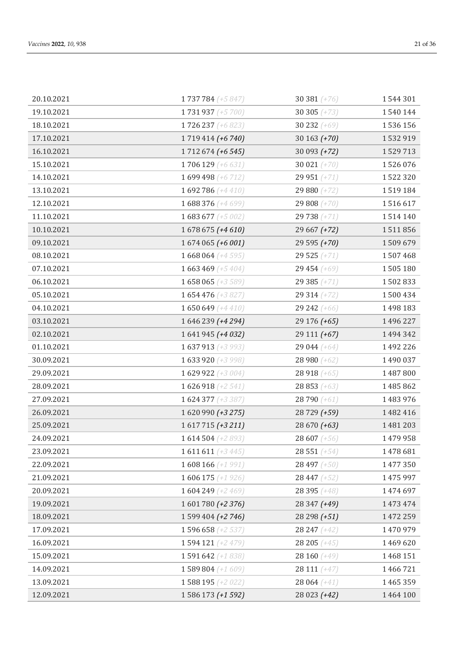| 20.10.2021 | 1737784 (+5847)       | 30 381 $(+76)$ | 1544301   |
|------------|-----------------------|----------------|-----------|
| 19.10.2021 | 1731937 (+5700)       | 30 305 $(+73)$ | 1540144   |
| 18.10.2021 | 1726 237 (+6 823)     | 30 232 (+69)   | 1536156   |
| 17.10.2021 | 1719 414 (+6740)      | 30 163 $(+70)$ | 1532919   |
| 16.10.2021 | 1712 674 (+6545)      | $30093 (+72)$  | 1529713   |
| 15.10.2021 | 1706 129 (+6 631)     | 30 021 $(+70)$ | 1526076   |
| 14.10.2021 | 1699 498 (+6712)      | 29 951 $(+71)$ | 1522320   |
| 13.10.2021 | 1692786 (+4410)       | 29 880 $(+72)$ | 1519184   |
| 12.10.2021 | 1688 376 (+4699)      | 29 808 (+70)   | 1516617   |
| 11.10.2021 | 1 683 677 (+5 002)    | 29 738 $(+71)$ | 1514140   |
| 10.10.2021 | 1678 675 (+4610)      | 29 667 (+72)   | 1511856   |
| 09.10.2021 | 1674 065 (+6 001)     | 29 595 (+70)   | 1509679   |
| 08.10.2021 | $1668064 (+4595)$     | 29 525 $(+71)$ | 1507468   |
| 07.10.2021 | $1663469 (+5404)$     | $29454 (+69)$  | 1505180   |
| 06.10.2021 | $1658065 (+3589)$     | 29 385 $(+71)$ | 1502833   |
| 05.10.2021 | 1654476 (+3827)       | $29314 (+72)$  | 1500434   |
| 04.10.2021 | 1650649 (+4410)       | 29 242 (+66)   | 1498183   |
| 03.10.2021 | 1 646 239 (+4 294)    | $29176 (+65)$  | 1 496 227 |
| 02.10.2021 | 1641945 (+4032)       | 29 111 (+67)   | 1494342   |
| 01.10.2021 | $1637913 (+3993)$     | 29 044 $(+64)$ | 1 492 226 |
| 30.09.2021 | 1 633 920 (+3 998)    | 28 980 (+62)   | 1490037   |
| 29.09.2021 | 1 629 922 (+3 004)    | 28 918 $(+65)$ | 1487800   |
| 28.09.2021 | $1626918 (+2541)$     | $28853 (+63)$  | 1485862   |
| 27.09.2021 | 1624 377 (+3 387)     | 28 790 (+61)   | 1 483 976 |
| 26.09.2021 | 1620 990 (+3275)      | 28 729 (+59)   | 1 482 416 |
| 25.09.2021 | 1617715 (+3211)       | 28 670 (+63)   | 1481203   |
| 24.09.2021 | 1614504 (+2893)       | 28 607 $(+56)$ | 1479958   |
| 23.09.2021 | $1611611 (+3445)$     | $28551 (+54)$  | 1478681   |
| 22.09.2021 | $1608166 (+1991)$     | 28 497 (+50)   | 1477350   |
| 21.09.2021 | $1606175 (+1926)$     | 28 447 (+52)   | 1475997   |
| 20.09.2021 | 1 604 249 $(+2, 469)$ | $28395 (+48)$  | 1474697   |
| 19.09.2021 | 1 601 780 (+2 376)    | 28 347 (+49)   | 1473474   |
| 18.09.2021 | 1599 404 (+2746)      | 28 298 (+51)   | 1472259   |
| 17.09.2021 | 1596 658 (+2537)      | 28 247 (+42)   | 1470979   |
| 16.09.2021 | 1594 121 (+2479)      | $28205 (+45)$  | 1 469 620 |
| 15.09.2021 | 1591642 (+1838)       | $28160 (+49)$  | 1468151   |
| 14.09.2021 | $1589804 (+1609)$     | $28111 (+47)$  | 1466721   |
| 13.09.2021 | 1588 195 (+2 022)     | $28064 (+41)$  | 1 465 359 |
| 12.09.2021 | 1586 173 (+1592)      | 28 023 (+42)   | 1464100   |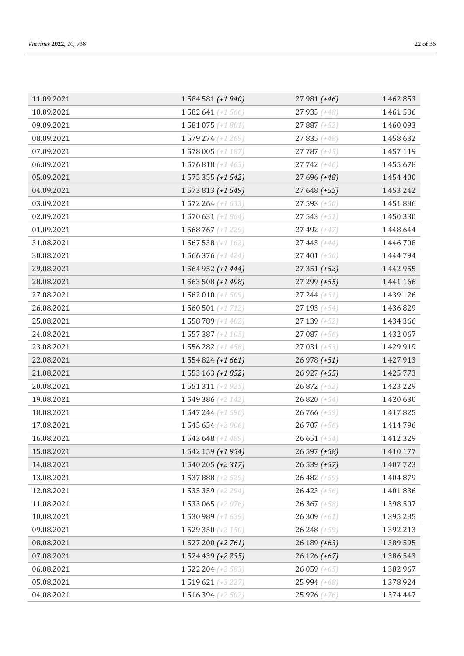| 11.09.2021 | 1584581 (+1940)           | 27 981 (+46)   | 1462853       |
|------------|---------------------------|----------------|---------------|
| 10.09.2021 | 1582 641 (+1566)          | 27 935 (+48)   | 1461536       |
| 09.09.2021 | $1581075 (+1801)$         | 27 887 $(+52)$ | 1460093       |
| 08.09.2021 | 1579 274 (+1269)          | $27835 (+48)$  | 1458632       |
| 07.09.2021 | $1578005 (+1187)$         | $27787 (+45)$  | 1 457 119     |
| 06.09.2021 | 1576818 (+1463)           | $27742 (+46)$  | 1455678       |
| 05.09.2021 | 1 575 355 (+1 542)        | $27696 (+48)$  | 1454400       |
| 04.09.2021 | 1573813 (+1549)           | $27648 (+55)$  | 1453242       |
| 03.09.2021 | <b>1572 264</b> $(+1633)$ | $27593 (+50)$  | 1451886       |
| 02.09.2021 | $1570631 (+1864)$         | $27543 (+51)$  | 1450330       |
| 01.09.2021 | 1568767 (+1229)           | $27492 (+47)$  | 1448644       |
| 31.08.2021 | 1567538 (+1162)           | $27445 (+44)$  | 1446708       |
| 30.08.2021 | 1566376 (+1424)           | 27 401 $(+50)$ | 1444794       |
| 29.08.2021 | 1564952 (+1444)           | $27351 (+52)$  | 1 442 955     |
| 28.08.2021 | 1563508 (+1498)           | $27299 (+55)$  | 1441166       |
| 27.08.2021 | 1 562 010 $(+1\,509)$     | $27244 (+51)$  | 1 439 126     |
| 26.08.2021 | $1560501 (+1712)$         | $27193 (+54)$  | 1436829       |
| 25.08.2021 | 1558789 (+1402)           | $27139 (+52)$  | 1 434 366     |
| 24.08.2021 | $1557387 (+1105)$         | 27 087 (+56)   | 1 432 067     |
| 23.08.2021 | 1556282 (+1458)           | $27031 (+53)$  | 1429919       |
| 22.08.2021 | 1554824 (+1661)           | $26978 (+51)$  | 1 427 913     |
| 21.08.2021 | 1 553 163 (+1 852)        | $26927 (+55)$  | 1425773       |
| 20.08.2021 | $1551311 (+1925)$         | $26872 (+52)$  | 1 423 229     |
| 19.08.2021 | 1549 386 (+2 142)         | $26820 (+54)$  | 1420630       |
| 18.08.2021 | 1547 244 (+1590)          | $26766 (+59)$  | 1417825       |
| 17.08.2021 | 1545 654 (+2 006)         | $26707 (+56)$  | 1414796       |
| 16.08.2021 | 1543 648 (+1489)          | $26651 (+54)$  | 1 412 329     |
| 15.08.2021 | 1542 159 (+1954)          | 26 597 (+58)   | 1410177       |
| 14.08.2021 | 1540205 (+2317)           | $26539 (+57)$  | 1 407 723     |
| 13.08.2021 | 1537888 (+2529)           | $26482 (+59)$  | 1404879       |
| 12.08.2021 | 1535359 (+2294)           | $26423 (+56)$  | 1401836       |
| 11.08.2021 | 1533 065 (+2 076)         | $26367 (+58)$  | 1 398 507     |
| 10.08.2021 | 1530989 (+1639)           | $26309 (+61)$  | 1 395 285     |
| 09.08.2021 | 1 529 350 $(+2 150)$      | $26248 (+59)$  | 1 392 213     |
| 08.08.2021 | 1527200 (+2761)           | 26 189 (+63)   | 1 389 595     |
| 07.08.2021 | 1 524 439 (+2 235)        | 26 126 (+67)   | 1 386 543     |
| 06.08.2021 | 1522 204 (+2 583)         | $26059 (+65)$  | 1 3 8 2 9 6 7 |
| 05.08.2021 | 1519 621 (+3 227)         | $25994 (+68)$  | 1 378 924     |
| 04.08.2021 | 1516394 (+2502)           | $25926 (+76)$  | 1374447       |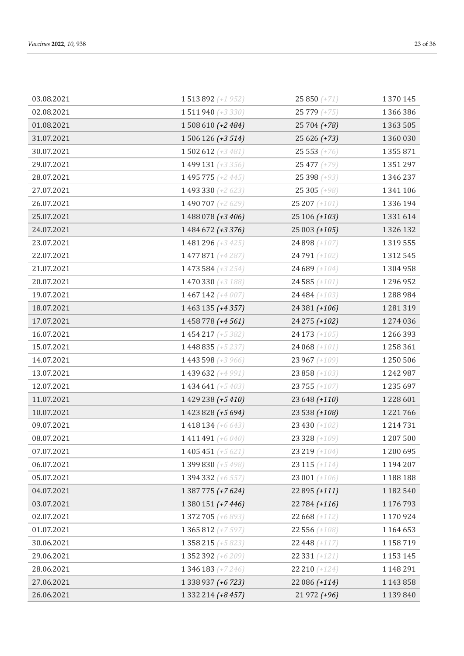| 03.08.2021 | 1513892 (+1952)     | 25 850 $(+71)$  | 1370145       |
|------------|---------------------|-----------------|---------------|
| 02.08.2021 | 1511940 (+3330)     | $25779 (+75)$   | 1 366 386     |
| 01.08.2021 | 1508 610 (+2484)    | $25704 (+78)$   | 1 3 6 3 5 0 5 |
| 31.07.2021 | 1506126(+3514)      | $25626 (+73)$   | 1 360 030     |
| 30.07.2021 | $1502612 (+3481)$   | $25553 (+76)$   | 1 3 5 5 8 7 1 |
| 29.07.2021 | 1499 131 (+3356)    | $25477 (+79)$   | 1 3 5 1 2 9 7 |
| 28.07.2021 | 1495 775 (+2445)    | $25398 (+93)$   | 1 346 237     |
| 27.07.2021 | 1493 330 (+2 623)   | $25305 (+98)$   | 1 341 106     |
| 26.07.2021 | 1490 707 (+2 629)   | $25207 (+101)$  | 1 3 3 6 1 9 4 |
| 25.07.2021 | 1 488 078 (+3 406)  | $25106 (+103)$  | 1 3 3 1 6 1 4 |
| 24.07.2021 | 1 484 672 (+3 376)  | $25003 (+105)$  | 1 3 2 6 1 3 2 |
| 23.07.2021 | 1481 296 (+3425)    | 24 898 (+107)   | 1 3 1 9 5 5 5 |
| 22.07.2021 | 1477 871 (+4 287)   | 24 791 (+102)   | 1 3 1 2 5 4 5 |
| 21.07.2021 | 1473 584 (+3254)    | $24689 (+104)$  | 1 304 958     |
| 20.07.2021 | 1470 330 (+3 188)   | 24 585 $(+101)$ | 1 296 952     |
| 19.07.2021 | 1467142 (+4 007)    | 24 484 $(+103)$ | 1 288 984     |
| 18.07.2021 | 1 463 135 (+4 357)  | 24 381 (+106)   | 1 2 8 1 3 1 9 |
| 17.07.2021 | 1458778 (+4561)     | 24 275 (+102)   | 1 274 036     |
| 16.07.2021 | 1454 217 (+5 382)   | $24173 (+105)$  | 1 266 393     |
| 15.07.2021 | 1448 835 (+5 237)   | 24 068 $(+101)$ | 1258361       |
| 14.07.2021 | 1443 598 (+3 966)   | 23 967 $(+109)$ | 1 250 506     |
| 13.07.2021 | 1439 632 (+4 991)   | 23 858 $(+103)$ | 1 242 987     |
| 12.07.2021 | 1434 641 (+5403)    | 23 755 $(+107)$ | 1 2 3 5 6 9 7 |
| 11.07.2021 | 1 429 238 (+5 410)  | 23 648 (+110)   | 1 2 2 8 6 0 1 |
| 10.07.2021 | 1 423 828 (+5 694)  | 23 538 (+108)   | 1 2 2 1 7 6 6 |
| 09.07.2021 | 1418 134 (+6 643)   | 23 430 (+102)   | 1214731       |
| 08.07.2021 | 1411491 $(+6040)$   | 23 328 (+109)   | 1 207 500     |
| 07.07.2021 | 1405 451 (+5 621)   | 23 219 (+104)   | 1 200 695     |
| 06.07.2021 | 1 399 830 (+5 498)  | $23115 (+114)$  | 1 194 207     |
| 05.07.2021 | 1 394 332 (+6 557)  | 23 001 $(+106)$ |               |
| 04.07.2021 | 1 387 775 (+7 624)  | $22895 (+111)$  | 1 1 8 2 5 4 0 |
| 03.07.2021 | 1 380 151 (+7 446)  | 22 784 (+116)   | 1 176 793     |
| 02.07.2021 | 1 372 705 (+6 893)  | $22668 (+112)$  | 1 170 924     |
| 01.07.2021 | 1 365 812 $(+7597)$ | 22 556 $(+108)$ | 1 1 6 4 6 5 3 |
| 30.06.2021 | 1 358 215 (+5 823)  | 22 448 $(+117)$ | 1 1 58 7 19   |
| 29.06.2021 | 1 352 392 (+6 209)  | $22331 (+121)$  | 1 1 5 3 1 4 5 |
| 28.06.2021 | 1 346 183 (+7 246)  | $22210 (+124)$  | 1 148 291     |
| 27.06.2021 | 1 338 937 (+6 723)  | 22 086 (+114)   | 1 143 858     |
| 26.06.2021 | 1 332 214 (+8 457)  | $21972 (+96)$   | 1 139 840     |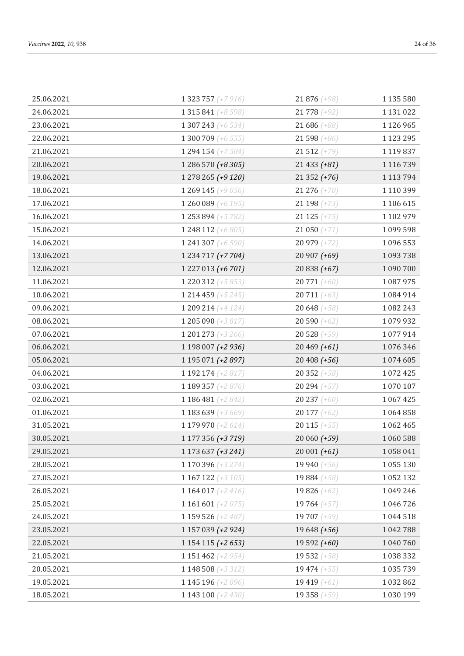| 25.06.2021 | 1 323 757 (+7 916)    | $21876 (+98)$  | 1 135 580     |
|------------|-----------------------|----------------|---------------|
| 24.06.2021 | 1 315 841 (+8 598)    | 21 778 (+92)   | 1 1 3 1 0 2 2 |
| 23.06.2021 | 1 307 243 (+6 534)    | $21686 (+88)$  | 1 1 2 6 9 6 5 |
| 22.06.2021 | $1300709 (+6555)$     | $21598 (+86)$  | 1 1 2 3 2 9 5 |
| 21.06.2021 | 1 294 154 $(+7584)$   | $21512 (+79)$  | 1 1 1 9 8 3 7 |
| 20.06.2021 | 1 286 570 (+8 305)    | $21433 (+81)$  | 1 1 1 6 7 3 9 |
| 19.06.2021 | 1 278 265 (+9 120)    | $21352 (+76)$  | 1 1 1 3 7 9 4 |
| 18.06.2021 | 1 269 145 (+9 056)    | $21276 (+78)$  | 1 1 1 0 3 9 9 |
| 17.06.2021 | 1 260 089 $(+6 195)$  | $21198 (+73)$  | 1 106 615     |
| 16.06.2021 | 1 253 894 (+5 782)    | $21125 (+75)$  | 1 102 979     |
| 15.06.2021 | 1 248 112 (+6 805)    | 21 050 $(+71)$ | 1 099 598     |
| 14.06.2021 | 1 241 307 (+6 590)    | $20979 (+72)$  | 1 0 9 6 5 5 3 |
| 13.06.2021 | 1 234 717 (+7 704)    | $20907 (+69)$  | 1093738       |
| 12.06.2021 | 1 227 013 (+6 701)    | $20838 (+67)$  | 1 090 700     |
| 11.06.2021 | $1220312 (+5853)$     | $20771 (+60)$  | 1 087 975     |
| 10.06.2021 | 1 214 459 $(+5, 245)$ | $20711 (+63)$  | 1 084 914     |
| 09.06.2021 | 1 209 214 (+4 124)    | $20648 (+58)$  | 1 082 243     |
| 08.06.2021 | 1 205 090 (+3 817)    | $20590 (+62)$  | 1079932       |
| 07.06.2021 | 1 201 273 (+3 266)    | $20528 (+59)$  | 1077914       |
| 06.06.2021 | 1 198 007 (+2 936)    | $20469 (+61)$  | 1076346       |
| 05.06.2021 | 1 195 071 (+2 897)    | $20408 (+56)$  | 1 0 7 4 6 0 5 |
| 04.06.2021 | 1 192 174 (+2 817)    | $20352 (+58)$  | 1072425       |
| 03.06.2021 | 1 189 357 (+2 876)    | $20294 (+57)$  | 1 070 107     |
| 02.06.2021 | 1 186 481 (+2 842)    | $20237 (+60)$  | 1 0 6 7 4 2 5 |
| 01.06.2021 | 1 183 639 (+3 669)    | $20177 (+62)$  | 1064858       |
| 31.05.2021 | 1 179 970 (+2 614)    | $20115 (+55)$  | 1 062 465     |
| 30.05.2021 | 1 177 356 (+3 719)    | $20060 (+59)$  | 1 060 588     |
| 29.05.2021 | 1 173 637 (+3 241)    | $20001 (+61)$  | 1058041       |
| 28.05.2021 | 1 170 396 (+3 274)    | 19 940 (+56)   | 1 0 5 5 1 3 0 |
| 27.05.2021 | 1 167 122 $(+3 105)$  | 19 884 (+58)   | 1052132       |
| 26.05.2021 | $1164017 (+2416)$     | 19 826 (+62)   | 1 049 246     |
| 25.05.2021 | $1161601 (+2075)$     | 19 764 (+57)   | 1 046 726     |
| 24.05.2021 | 1 159 526 (+2 487)    | 19 707 (+59)   | 1 0 4 4 5 1 8 |
| 23.05.2021 | 1 157 039 (+2 924)    | 19648 $(+56)$  | 1 042 788     |
| 22.05.2021 | 1 154 115 (+2 653)    | 19 592 (+60)   | 1 040 760     |
| 21.05.2021 | 1 151 462 (+2 954)    | 19 532 $(+58)$ | 1038332       |
| 20.05.2021 | 1 148 508 (+3 312)    | 19 474 $(+55)$ | 1 0 3 5 7 3 9 |
| 19.05.2021 | 1 145 196 (+2 096)    | 19 419 $(+61)$ | 1 0 3 2 8 6 2 |
| 18.05.2021 | 1 143 100 $(+2,430)$  | 19 358 $(+59)$ | 1 0 3 0 1 9 9 |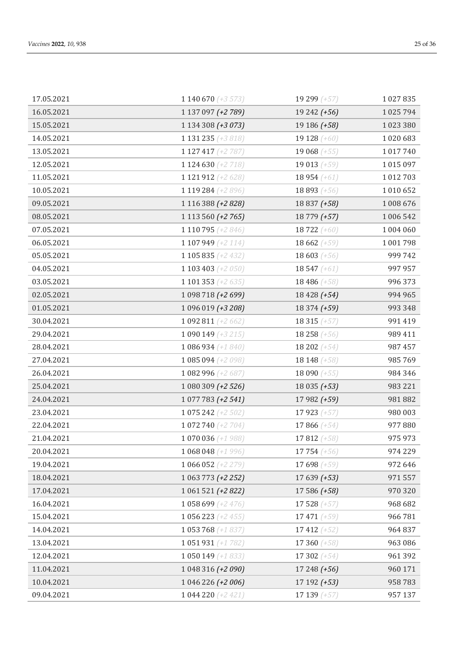| 17.05.2021 | 1 140 670 $(+3573)$   | 19 299 (+57)   | 1027835       |
|------------|-----------------------|----------------|---------------|
| 16.05.2021 | 1 137 097 (+2 789)    | $19242 (+56)$  | 1025794       |
| 15.05.2021 | 1 134 308 (+3 073)    | 19 186 (+58)   | 1023380       |
| 14.05.2021 | 1 131 235 (+3 818)    | 19 128 $(+60)$ | 1020683       |
| 13.05.2021 | 1 127 417 (+2 787)    | 19 068 $(+55)$ | 1 017 740     |
| 12.05.2021 | 1 124 630 $(+2 718)$  | 19 013 $(+59)$ | 1 0 1 5 0 9 7 |
| 11.05.2021 | 1 121 912 (+2 628)    | 18 954 $(+61)$ | 1 0 1 2 7 0 3 |
| 10.05.2021 | 1 119 284 (+2 896)    | 18 893 $(+56)$ | 1 0 1 0 6 5 2 |
| 09.05.2021 | 1 116 388 (+2 828)    | 18 837 (+58)   | 1 008 676     |
| 08.05.2021 | 1 113 560 (+2 765)    | 18 779 (+57)   | 1 006 542     |
| 07.05.2021 | 1 110 795 (+2 846)    | 18 722 $(+60)$ | 1 004 060     |
| 06.05.2021 | 1 107 949 (+2 114)    | 18 662 $(+59)$ | 1 001 798     |
| 05.05.2021 | 1 105 835 $(+2, 432)$ | 18 603 $(+56)$ | 999 742       |
| 04.05.2021 | 1 103 403 $(+2,050)$  | 18 547 $(+61)$ | 997 957       |
| 03.05.2021 | $1101353 (+2635)$     | 18 486 (+58)   | 996 373       |
| 02.05.2021 | 1 098 718 (+2 699)    | 18 428 (+54)   | 994 965       |
| 01.05.2021 | 1 096 019 (+3 208)    | 18 374 (+59)   | 993 348       |
| 30.04.2021 | 1 092 811 (+2 662)    | 18 315 $(+57)$ | 991 419       |
| 29.04.2021 | $1090149 (+3215)$     | 18 258 $(+56)$ | 989 411       |
| 28.04.2021 | 1 086 934 (+1 840)    | 18 202 $(+54)$ | 987 457       |
| 27.04.2021 | $1085094 (+2098)$     | 18 148 (+58)   | 985 769       |
| 26.04.2021 | 1 082 996 (+2 687)    | 18 090 $(+55)$ | 984 346       |
| 25.04.2021 | 1 080 309 (+2 526)    | $18035 (+53)$  | 983 221       |
| 24.04.2021 | 1 077 783 (+2 541)    | 17 982 (+59)   | 981882        |
| 23.04.2021 | $1075242 (+2502)$     | 17 923 $(+57)$ | 980 003       |
| 22.04.2021 | $1072740 (+2704)$     | 17 866 $(+54)$ | 977880        |
| 21.04.2021 | $1070036 (+1988)$     | 17812 $(+58)$  | 975 973       |
| 20.04.2021 | $1068048 (+1996)$     | 17 754 (+56)   | 974 229       |
| 19.04.2021 | $1066052 (+2279)$     | 17 698 (+59)   | 972 646       |
| 18.04.2021 | 1 063 773 (+2 252)    | $17639 (+53)$  | 971 557       |
| 17.04.2021 | 1 061 521 (+2 822)    | $17586 (+58)$  | 970 320       |
| 16.04.2021 | $1058699 (+2476)$     | 17 528 $(+57)$ | 968 682       |
| 15.04.2021 | $1056223 (+2455)$     | 17 471 $(+59)$ | 966 781       |
| 14.04.2021 | $1053768 (+1837)$     | 17 412 $(+52)$ | 964 837       |
| 13.04.2021 | $1051931 (+1782)$     | 17 360 $(+58)$ | 963 086       |
| 12.04.2021 | $1050149 (+1833)$     | 17 302 $(+54)$ | 961 392       |
| 11.04.2021 | 1 048 316 (+2 090)    | $17248 (+56)$  | 960 171       |
| 10.04.2021 | 1 046 226 (+2 006)    | $17192 (+53)$  | 958783        |
| 09.04.2021 | $1044220 (+2421)$     | 17 139 $(+57)$ | 957 137       |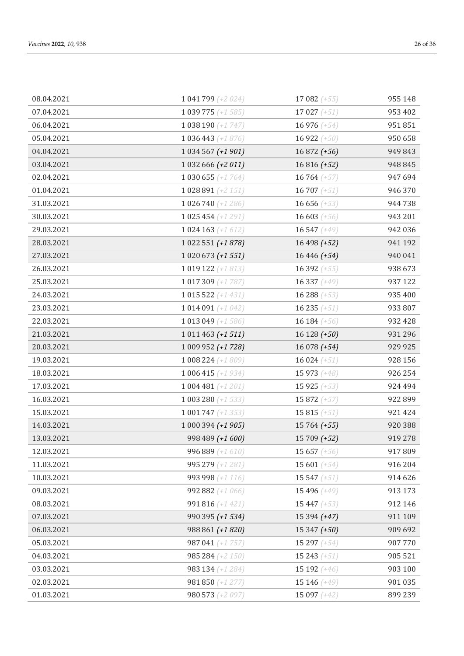| 08.04.2021 | 1 041 799 (+2 024) | 17 082 $(+55)$ | 955 148 |
|------------|--------------------|----------------|---------|
| 07.04.2021 | $1039775 (+1585)$  | 17 027 $(+51)$ | 953 402 |
| 06.04.2021 | $1038190 (+1747)$  | 16 976 $(+54)$ | 951851  |
| 05.04.2021 | $1036443 (+1876)$  | 16 922 $(+50)$ | 950 658 |
| 04.04.2021 | 1 034 567 (+1 901) | $16872 (+56)$  | 949 843 |
| 03.04.2021 | 1 032 666 (+2 011) | 16 816 (+52)   | 948 845 |
| 02.04.2021 | $1030655 (+1764)$  | 16 764 $(+57)$ | 947 694 |
| 01.04.2021 | $1028891 (+2151)$  | 16 707 $(+51)$ | 946 370 |
| 31.03.2021 | 1 026 740 (+1 286) | 16 656 $(+53)$ | 944738  |
| 30.03.2021 | $1025454 (+1291)$  | 16 603 $(+56)$ | 943 201 |
| 29.03.2021 | $1024163 (+1612)$  | 16 547 $(+49)$ | 942 036 |
| 28.03.2021 | 1 022 551 (+1 878) | $16498 (+52)$  | 941 192 |
| 27.03.2021 | 1 020 673 (+1 551) | $16446 (+54)$  | 940 041 |
| 26.03.2021 | 1019122 (+1813)    | 16 392 $(+55)$ | 938 673 |
| 25.03.2021 | $1017309 (+1787)$  | 16 337 $(+49)$ | 937 122 |
| 24.03.2021 | $1015522 (+1431)$  | 16 288 $(+53)$ | 935 400 |
| 23.03.2021 | 1 014 091 (+1 042) | 16 235 $(+51)$ | 933 807 |
| 22.03.2021 | $1013049 (+1586)$  | 16 184 $(+56)$ | 932 428 |
| 21.03.2021 | 1 011 463 (+1 511) | $16128 (+50)$  | 931 296 |
| 20.03.2021 | 1 009 952 (+1 728) | $16078 (+54)$  | 929 925 |
| 19.03.2021 | 1 008 224 (+1 809) | 16 024 $(+51)$ | 928 156 |
| 18.03.2021 | $1006415 (+1934)$  | 15 973 (+48)   | 926 254 |
| 17.03.2021 | $1004481 (+1201)$  | 15 925 $(+53)$ | 924 494 |
| 16.03.2021 | $1003280 (+1533)$  | 15 872 $(+57)$ | 922899  |
| 15.03.2021 | $1001747 (+1353)$  | 15 815 $(+51)$ | 921 424 |
| 14.03.2021 | 1 000 394 (+1 905) | 15 764 (+55)   | 920 388 |
| 13.03.2021 | 998 489 (+1 600)   | 15 709 (+52)   | 919 278 |
| 12.03.2021 | 996 889 (+1 610)   | 15 657 $(+56)$ | 917809  |
| 11.03.2021 | 995 279 (+1 281)   | 15 601 $(+54)$ | 916 204 |
| 10.03.2021 | 993 998 (+1 116)   | 15 547 $(+51)$ | 914 626 |
| 09.03.2021 | 992 882 (+1 066)   | 15 496 (+49)   | 913 173 |
| 08.03.2021 | 991 816 (+1 421)   | 15 447 $(+53)$ | 912 146 |
| 07.03.2021 | 990 395 (+1 534)   | 15 394 (+47)   | 911 109 |
| 06.03.2021 | 988 861 (+1 820)   | 15 347 (+50)   | 909 692 |
| 05.03.2021 | 987 041 (+1 757)   | 15 297 $(+54)$ | 907 770 |
| 04.03.2021 | 985 284 (+2 150)   | 15 243 $(+51)$ | 905 521 |
| 03.03.2021 | 983 134 (+1 284)   | 15 192 $(+46)$ | 903 100 |
| 02.03.2021 | 981 850 (+1 277)   | 15 146 (+49)   | 901 035 |
| 01.03.2021 | 980 573 (+2 097)   | 15 097 $(+42)$ | 899 239 |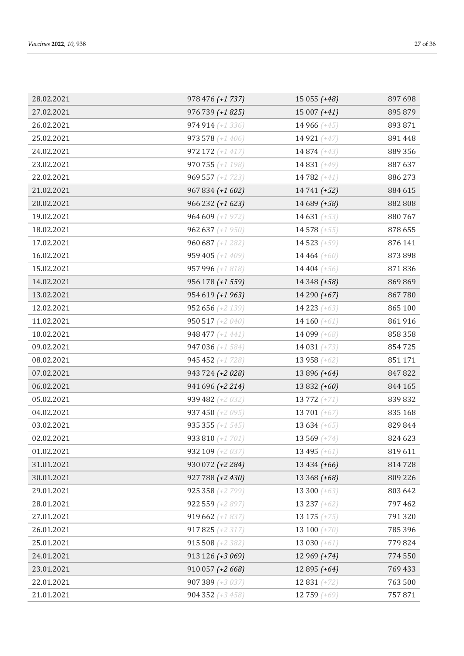| 28.02.2021 | 978 476 (+1 737)          | 15 055 (+48)   | 897 698 |
|------------|---------------------------|----------------|---------|
| 27.02.2021 | 976 739 (+1 825)          | $15007 (+41)$  | 895 879 |
| 26.02.2021 | $974914 (+1336)$          | 14 966 $(+45)$ | 893 871 |
| 25.02.2021 | 973 578 $(+1406)$         | 14 921 $(+47)$ | 891 448 |
| 24.02.2021 | 972 172 $(+1\ 417)$       | 14 874 (+43)   | 889 356 |
| 23.02.2021 | 970 755 $(+1198)$         | 14 831 (+49)   | 887 637 |
| 22.02.2021 | 969 557 $(+1723)$         | 14 782 (+41)   | 886 273 |
| 21.02.2021 | 967 834 (+1 602)          | 14 741 (+52)   | 884 615 |
| 20.02.2021 | 966 232 (+1 623)          | 14 689 (+58)   | 882 808 |
| 19.02.2021 | 964 609 $(+1972)$         | 14 631 $(+53)$ | 880 767 |
| 18.02.2021 | 962 637 $(+1950)$         | 14 578 $(+55)$ | 878 655 |
| 17.02.2021 | 960 687 (+1 282)          | 14 523 $(+59)$ | 876 141 |
| 16.02.2021 | 959 405 $(+1409)$         | 14 464 (+60)   | 873 898 |
| 15.02.2021 | 957 996 (+1 818)          | 14 404 $(+56)$ | 871836  |
| 14.02.2021 | 956 178 (+1 559)          | 14 348 (+58)   | 869 869 |
| 13.02.2021 | 954 619 (+1 963)          | 14 290 (+67)   | 867780  |
| 12.02.2021 | 952 656 (+2 139)          | 14 223 (+63)   | 865 100 |
| 11.02.2021 | <b>950 517</b> $(+2,040)$ | 14 160 $(+61)$ | 861916  |
| 10.02.2021 | 948 477 (+1 441)          | 14 099 $(+68)$ | 858 358 |
| 09.02.2021 | 947 036 (+1 584)          | 14 031 $(+73)$ | 854725  |
| 08.02.2021 | <b>945 452</b> $(+1 728)$ | 13 958 $(+62)$ | 851 171 |
| 07.02.2021 | 943 724 (+2 028)          | 13 896 (+64)   | 847822  |
| 06.02.2021 | 941 696 (+2 214)          | 13 832 (+60)   | 844 165 |
| 05.02.2021 | 939 482 (+2 032)          | 13 772 $(+71)$ | 839832  |
| 04.02.2021 | 937 450 (+2 095)          | 13 701 $(+67)$ | 835 168 |
| 03.02.2021 | 935 355 $(+1545)$         | 13 634 $(+65)$ | 829 844 |
| 02.02.2021 | 933 810 (+1 701)          | 13 569 $(+74)$ | 824 623 |
| 01.02.2021 | 932 109 (+2 037)          | 13 495 $(+61)$ | 819611  |
| 31.01.2021 | 930 072 (+2 284)          | 13 434 (+66)   | 814728  |
| 30.01.2021 | 927 788 (+2 430)          | 13 368 (+68)   | 809 226 |
| 29.01.2021 | 925 358 $(+2 799)$        | 13 300 $(+63)$ | 803 642 |
| 28.01.2021 | 922 559 $(+2897)$         | 13 237 (+62)   | 797 462 |
| 27.01.2021 | 919 662 $(+1837)$         | 13 175 $(+75)$ | 791 320 |
| 26.01.2021 | 917 825 $(+2,317)$        | 13 100 $(+70)$ | 785 396 |
| 25.01.2021 | 915 508 $(+2, 382)$       | 13 030 $(+61)$ | 779824  |
| 24.01.2021 | 913 126 (+3 069)          | 12 969 (+74)   | 774 550 |
| 23.01.2021 | 910 057 (+2 668)          | 12 895 $(+64)$ | 769 433 |
| 22.01.2021 | 907 389 (+3 037)          | 12 831 $(+72)$ | 763 500 |
| 21.01.2021 | 904 352 $(+3, 458)$       | 12 759 (+69)   | 757871  |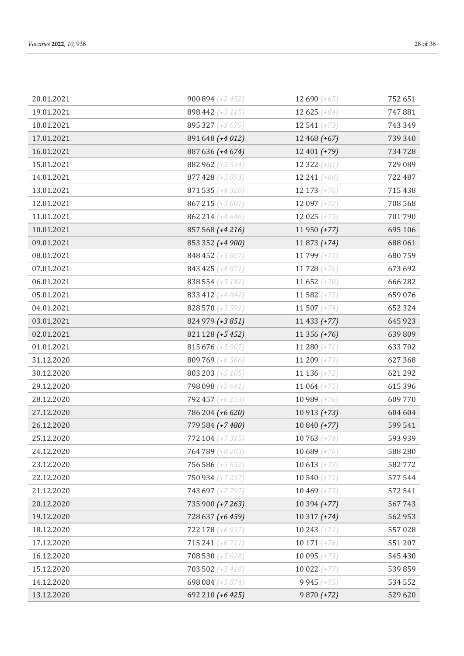| 20.01.2021 | 900 894 (+2 452)    | 12 690 $(+65)$  | 752 651 |
|------------|---------------------|-----------------|---------|
| 19.01.2021 | 898 442 (+3 115)    | 12 625 $(+84)$  | 747881  |
| 18.01.2021 | 895 327 (+3 679)    | 12 541 $(+73)$  | 743 349 |
| 17.01.2021 | 891 648 (+4 012)    | 12 468 $(+67)$  | 739 340 |
| 16.01.2021 | 887 636 (+4 674)    | $12401 (+79)$   | 734728  |
| 15.01.2021 | 882 962 (+5 534)    | 12 322 $(+81)$  | 729 089 |
| 14.01.2021 | 877 428 (+5 893)    | 12 241 $(+68)$  | 722 487 |
| 13.01.2021 | 871 535 (+4 320)    | 12 173 $(+76)$  | 715 438 |
| 12.01.2021 | 867 215 (+5 001)    | 12 097 $(+72)$  | 708 568 |
| 11.01.2021 | 862 214 (+4 646)    | 12 025 $(+75)$  | 701790  |
| 10.01.2021 | 857 568 (+4 216)    | $11950 (+77)$   | 695 106 |
| 09.01.2021 | 853 352 (+4 900)    | $11873 (+74)$   | 688 061 |
| 08.01.2021 | 848 452 (+5 027)    | 11 799 $(+71)$  | 680759  |
| 07.01.2021 | 843 425 (+4 871)    | 11728 $(+76)$   | 673 692 |
| 06.01.2021 | 838 554 (+5 142)    | 11 652 $(+70)$  | 666 282 |
| 05.01.2021 | 833 412 (+4 842)    | 11 582 $(+75)$  | 659 076 |
| 04.01.2021 | 828 570 (+3 591)    | 11 507 $(+74)$  | 652 324 |
| 03.01.2021 | 824 979 (+3 851)    | $11433 (+77)$   | 645 923 |
| 02.01.2021 | 821 128 (+5 452)    | $11356 (+76)$   | 639809  |
| 01.01.2021 | 815 676 (+5 907)    | 11 280 $(+71)$  | 633702  |
| 31.12.2020 | 809 769 (+6 566)    | 11 209 $(+73)$  | 627 368 |
| 30.12.2020 | 803 203 (+5 105)    | 11 136 $(+72)$  | 621 292 |
| 29.12.2020 | 798 098 (+5 641)    | 11 064 $(+75)$  | 615 396 |
| 28.12.2020 | 792 457 (+6 253)    | 10 989 $(+76)$  | 609 770 |
| 27.12.2020 | 786 204 (+6 620)    | $10913 (+73)$   | 604 604 |
| 26.12.2020 | 779 584 (+7480)     | 10 840 (+77)    | 599 541 |
| 25.12.2020 | 772 104 $(+7315)$   | 10 763 $(+74)$  | 593 939 |
| 24.12.2020 | 764 789 (+8 203)    | 10 689 $(+76)$  | 588 280 |
| 23.12.2020 | 756 586 (+5 652)    | 10 613 $(+73)$  | 582772  |
| 22.12.2020 | 750 934 (+7237)     | 10 540 $(+71)$  | 577 544 |
| 21.12.2020 | 743 697 (+7 797)    | 10 469 $(+75)$  | 572 541 |
| 20.12.2020 | 735 900 (+7263)     | $10394 (+77)$   | 567743  |
| 19.12.2020 | 728 637 (+6 459)    | $10317 (+74)$   | 562 953 |
| 18.12.2020 | 722 178 (+6 937)    | 10 243 $(+72)$  | 557028  |
| 17.12.2020 | 715 241 (+6 711)    | 10 171 $(+76)$  | 551 207 |
| 16.12.2020 | 708 530 (+5 028)    | 10 095 $(+73)$  | 545 430 |
| 15.12.2020 | 703 502 $(+5, 418)$ | 10 022 $(+77)$  | 539859  |
| 14.12.2020 | 698 084 (+5 874)    | 9 9 4 5 $(+75)$ | 534 552 |
| 13.12.2020 | 692 210 (+6 425)    | $9870 (+72)$    | 529 620 |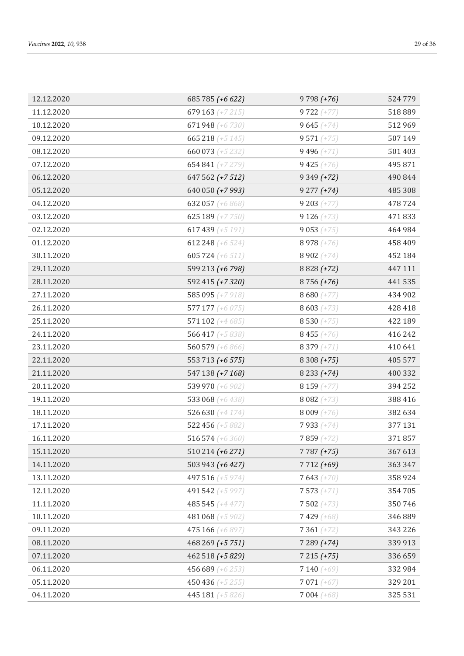| 12.12.2020 | 685 785 (+6 622)    | $9798 (+76)$  | 524 779 |
|------------|---------------------|---------------|---------|
| 11.12.2020 | 679 163 (+7 215)    | $9722 (+77)$  | 518 889 |
| 10.12.2020 | 671 948 (+6 730)    | $9645 (+74)$  | 512 969 |
| 09.12.2020 | 665 218 $(+5\,145)$ | $9571 (+75)$  | 507 149 |
| 08.12.2020 | 660 073 (+5 232)    | 9496 $(+71)$  | 501 403 |
| 07.12.2020 | 654 841 (+7279)     | $9425 (+76)$  | 495 871 |
| 06.12.2020 | 647 562 (+7 512)    | $9349 (+72)$  | 490 844 |
| 05.12.2020 | 640 050 (+7 993)    | $9277 (+74)$  | 485 308 |
| 04.12.2020 | 632 057 (+6 868)    | $9203 (+77)$  | 478724  |
| 03.12.2020 | 625 189 (+7 750)    | $9126 (+73)$  | 471833  |
| 02.12.2020 | 617 439 $(+5191)$   | $9053 (+75)$  | 464 984 |
| 01.12.2020 | 612 248 (+6 524)    | 8 978 $(+76)$ | 458 409 |
| 30.11.2020 | 605 724 (+6 511)    | 8 902 $(+74)$ | 452 184 |
| 29.11.2020 | 599 213 (+6 798)    | $8828 (+72)$  | 447 111 |
| 28.11.2020 | 592 415 (+7320)     | $8756 (+76)$  | 441535  |
| 27.11.2020 | 585 095 (+7 918)    | 8 680 $(+77)$ | 434 902 |
| 26.11.2020 | 577 177 (+6 075)    | $8603 (+73)$  | 428 418 |
| 25.11.2020 | 571 102 $(+4685)$   | 8 530 $(+75)$ | 422 189 |
| 24.11.2020 | 566 417 (+5 838)    | 8455 $(+76)$  | 416 242 |
| 23.11.2020 | 560 579 (+6 866)    | 8 379 $(+71)$ | 410 641 |
| 22.11.2020 | 553 713 (+6 575)    | $8308 (+75)$  | 405 577 |
| 21.11.2020 | 547 138 (+7 168)    | $8233 (+74)$  | 400 332 |
| 20.11.2020 | 539 970 (+6 902)    | 8 159 $(+77)$ | 394 252 |
| 19.11.2020 | 533 068 (+6 438)    | 8 0 8 $(+73)$ | 388 416 |
| 18.11.2020 | 526 630 $(+4\ 174)$ | 8 009 $(+76)$ | 382 634 |
| 17.11.2020 | 522 456 (+5 882)    | $7933 (+74)$  | 377 131 |
| 16.11.2020 | 516 574 (+6 360)    | $7859 (+72)$  | 371857  |
| 15.11.2020 | 510 214 (+6 271)    | $7787 (+75)$  | 367 613 |
| 14.11.2020 | 503 943 (+6 427)    | $7712 (+69)$  | 363 347 |
| 13.11.2020 | 497 516 (+5 974)    | $7643 (+70)$  | 358 924 |
| 12.11.2020 | 491 542 (+5 997)    | $7573 (+71)$  | 354 705 |
| 11.11.2020 | 485 545 (+4 477)    | $7502 (+73)$  | 350746  |
| 10.11.2020 | 481 068 (+5 902)    | $7429 (+68)$  | 346 889 |
| 09.11.2020 | 475 166 (+6 897)    | $7361 (+72)$  | 343 226 |
| 08.11.2020 | 468 269 (+5 751)    | $7289 (+74)$  | 339 913 |
| 07.11.2020 | 462 518 (+5 829)    | $7215 (+75)$  | 336 659 |
| 06.11.2020 | 456 689 (+6 253)    | $7140 (+69)$  | 332 984 |
| 05.11.2020 | 450 436 (+5 255)    | $7071 (+67)$  | 329 201 |
| 04.11.2020 | 445 181 (+5 826)    | $7004 (+68)$  | 325 531 |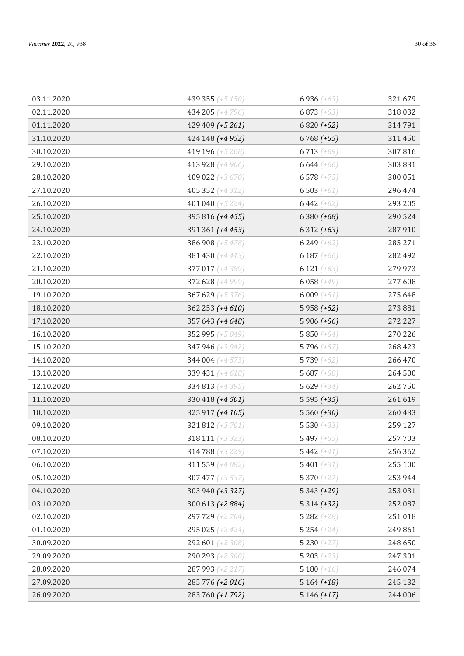| 03.11.2020 | 439 355 (+5 150)    | $6936 (+63)$    | 321 679 |
|------------|---------------------|-----------------|---------|
| 02.11.2020 | 434 205 (+4 796)    | $6873 (+53)$    | 318 032 |
| 01.11.2020 | 429 409 (+5 261)    | $6820 (+52)$    | 314 791 |
| 31.10.2020 | 424 148 (+4 952)    | $6768 (+55)$    | 311 450 |
| 30.10.2020 | 419 196 (+5 268)    | $6713 (+69)$    | 307816  |
| 29.10.2020 | 413 928 (+4 906)    | 6644 $(+66)$    | 303831  |
| 28.10.2020 | 409 022 (+3 670)    | 6578 $(+75)$    | 300 051 |
| 27.10.2020 | 405 352 (+4 312)    | $6503 (+61)$    | 296 474 |
| 26.10.2020 | 401 040 $(+5, 224)$ | 6442 $(+62)$    | 293 205 |
| 25.10.2020 | 395 816 (+4 455)    | $6380 (+68)$    | 290 524 |
| 24.10.2020 | 391 361 (+4 453)    | $6312 (+63)$    | 287 910 |
| 23.10.2020 | 386 908 (+5 478)    | 6 249 $(+62)$   | 285 271 |
| 22.10.2020 | 381 430 (+4 413)    | 6 187 $(+66)$   | 282 492 |
| 21.10.2020 | 377 017 (+4 389)    | 6 121 $(+63)$   | 279 973 |
| 20.10.2020 | 372 628 (+4 999)    | 6 0 58 $(+49)$  | 277 608 |
| 19.10.2020 | 367 629 $(+5,376)$  | 6 009 $(+51)$   | 275 648 |
| 18.10.2020 | 362 253 (+4 610)    | $5958 (+52)$    | 273 881 |
| 17.10.2020 | 357 643 (+4 648)    | $5906 (+56)$    | 272 227 |
| 16.10.2020 | 352 995 (+5 049)    | 5 850 $(+54)$   | 270 226 |
| 15.10.2020 | 347 946 (+3 942)    | 5796 $(+57)$    | 268 423 |
| 14.10.2020 | 344 004 (+4 573)    | 5739 $(+52)$    | 266 470 |
| 13.10.2020 | 339 431 (+4 618)    | 5 687 $(+58)$   | 264 500 |
| 12.10.2020 | 334 813 (+4 395)    | 5 629 $(+34)$   | 262750  |
| 11.10.2020 | 330 418 (+4 501)    | $5595 (+35)$    | 261 619 |
| 10.10.2020 | 325 917 (+4 105)    | $5560 (+30)$    | 260 433 |
| 09.10.2020 | 321 812 (+3 701)    | 5 530 $(+33)$   | 259 127 |
| 08.10.2020 | 318 111 (+3 323)    | 5497 $(+55)$    | 257703  |
| 07.10.2020 | 314 788 (+3 229)    | 5442 $(+41)$    | 256 362 |
| 06.10.2020 | 311 559 (+4 082)    | $5401 (+31)$    | 255 100 |
| 05.10.2020 | 307 477 (+3 537)    | 5 370 $(+27)$   | 253 944 |
| 04.10.2020 | 303 940 (+3 327)    | $5343 (+29)$    | 253 031 |
| 03.10.2020 | 300 613 (+2 884)    | $5314 (+32)$    | 252 087 |
| 02.10.2020 | 297 729 (+2 704)    | 5 282 $(+28)$   | 251018  |
| 01.10.2020 | 295 025 $(+2, 424)$ | 5 2 5 4 $(+24)$ | 249 861 |
| 30.09.2020 | 292 601 (+2 308)    | 5 230 $(+27)$   | 248 650 |
| 29.09.2020 | 290 293 (+2 300)    | $5203 (+23)$    | 247 301 |
| 28.09.2020 | 287 993 (+2 217)    | 5 180 $(+16)$   | 246 074 |
| 27.09.2020 | 285 776 (+2 016)    | $5164 (+18)$    | 245 132 |
| 26.09.2020 | 283 760 (+1 792)    | $5146 (+17)$    | 244 006 |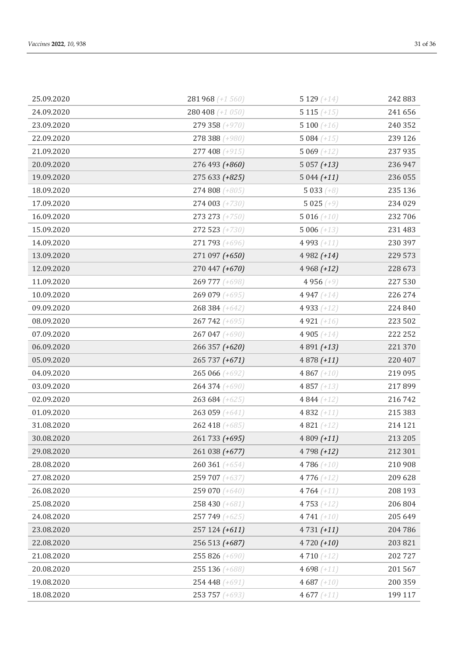| 25.09.2020 | 281 968 (+1 560) | 5 129 $(+14)$  | 242 883 |
|------------|------------------|----------------|---------|
| 24.09.2020 | 280 408 (+1 050) | $5115 (+15)$   | 241 656 |
| 23.09.2020 | 279 358 (+970)   | 5 100 $(+16)$  | 240 352 |
| 22.09.2020 | 278 388 (+980)   | 5 084 $(+15)$  | 239 126 |
| 21.09.2020 | 277 408 $(+915)$ | 5 069 $(+12)$  | 237935  |
| 20.09.2020 | 276 493 (+860)   | $5057 (+13)$   | 236 947 |
| 19.09.2020 | 275 633 (+825)   | $5044(+11)$    | 236 055 |
| 18.09.2020 | 274 808 (+805)   | $5033 (+8)$    | 235 136 |
| 17.09.2020 | $274003 (+730)$  | 5 0 2 5 $(+9)$ | 234 029 |
| 16.09.2020 | $273273 (+750)$  | 5 016 $(+10)$  | 232 706 |
| 15.09.2020 | $272523 (+730)$  | 5 006 $(+13)$  | 231 483 |
| 14.09.2020 | 271 793 (+696)   | 4 9 9 $(+11)$  | 230 397 |
| 13.09.2020 | 271 097 (+650)   | $4982 (+14)$   | 229 573 |
| 12.09.2020 | 270 447 (+670)   | $4968(+12)$    | 228 673 |
| 11.09.2020 | 269 777 (+698)   | 4 9 5 6 $(+9)$ | 227 530 |
| 10.09.2020 | 269 079 (+695)   | 4 947 (+14)    | 226 274 |
| 09.09.2020 | 268 384 (+642)   | 4 9 3 $(+12)$  | 224 840 |
| 08.09.2020 | 267 742 (+695)   | 4 921 $(+16)$  | 223 502 |
| 07.09.2020 | $267047 (+690)$  | 4 905 $(+14)$  | 222 252 |
| 06.09.2020 | 266 357 (+620)   | $4891 (+13)$   | 221 370 |
| 05.09.2020 | 265 737 (+671)   | $4878 (+11)$   | 220 407 |
| 04.09.2020 | $265066 (+692)$  | 4 867 $(+10)$  | 219 095 |
| 03.09.2020 | 264 374 (+690)   | 4857 $(+13)$   | 217899  |
| 02.09.2020 | $263684 (+625)$  | 4 844 $(+12)$  | 216 742 |
| 01.09.2020 | $263059 (+641)$  | 4 8 3 $(+11)$  | 215 383 |
| 31.08.2020 | 262 418 (+685)   | 4 821 $(+12)$  | 214 121 |
| 30.08.2020 | 261 733 (+695)   | $4809 (+11)$   | 213 205 |
| 29.08.2020 | 261 038 (+677)   | $4798(+12)$    | 212 301 |
| 28.08.2020 | $260361 (+654)$  | 4786 $(+10)$   | 210 908 |
| 27.08.2020 | 259 707 (+637)   | 4776 $(+12)$   | 209 628 |
| 26.08.2020 | 259 070 (+640)   | 4764 $(+11)$   | 208 193 |
| 25.08.2020 | 258 430 (+681)   | 4753 $(+12)$   | 206 804 |
| 24.08.2020 | 257 749 (+625)   | 4741 $(+10)$   | 205 649 |
| 23.08.2020 | 257 124 (+611)   | $4731 (+11)$   | 204 786 |
| 22.08.2020 | 256 513 (+687)   | $4720 (+10)$   | 203 821 |
| 21.08.2020 | 255 826 (+690)   | 4710 $(+12)$   | 202727  |
| 20.08.2020 | 255 136 (+688)   | 4 698 $(+11)$  | 201567  |
| 19.08.2020 | 254 448 (+691)   | 4 687 $(+10)$  | 200 359 |
| 18.08.2020 | 253 757 (+693)   | 4677 $(+11)$   | 199 117 |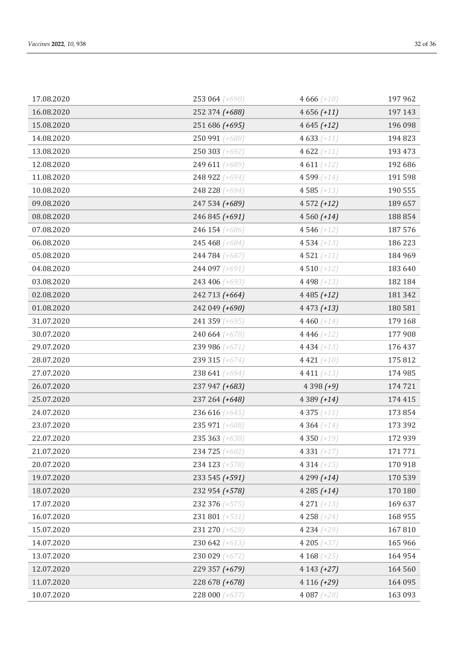| 17.08.2020 | 253 064 (+690)   | 4 6 6 $(+10)$   | 197 962 |
|------------|------------------|-----------------|---------|
| 16.08.2020 | 252 374 (+688)   | $4656(+11)$     | 197 143 |
| 15.08.2020 | 251 686 (+695)   | $4645 (+12)$    | 196 098 |
| 14.08.2020 | 250 991 (+688)   | 4 633 $(+11)$   | 194 823 |
| 13.08.2020 | $250303 (+692)$  | 4 622 $(+11)$   | 193 473 |
| 12.08.2020 | 249 611 (+689)   | 4 611 $(+12)$   | 192 686 |
| 11.08.2020 | 248 922 (+694)   | 4 599 $(+14)$   | 191598  |
| 10.08.2020 | 248 228 (+694)   | 4585 $(+13)$    | 190 555 |
| 09.08.2020 | 247 534 (+689)   | $4572 (+12)$    | 189 657 |
| 08.08.2020 | 246 845 (+691)   | $4560 (+14)$    | 188 854 |
| 07.08.2020 | 246 154 (+686)   | 4 546 $(+12)$   | 187 576 |
| 06.08.2020 | 245 468 (+684)   | 4 5 34 $(+13)$  | 186 223 |
| 05.08.2020 | 244 784 (+687)   | 4521 $(+11)$    | 184 969 |
| 04.08.2020 | 244 097 (+691)   | 4 510 $(+12)$   | 183 640 |
| 03.08.2020 | 243 406 (+693)   | 4498 $(+13)$    | 182 184 |
| 02.08.2020 | 242 713 (+664)   | $4485 (+12)$    | 181 342 |
| 01.08.2020 | 242 049 (+690)   | $4473 (+13)$    | 180 581 |
| 31.07.2020 | 241 359 (+695)   | 4 4 6 $(+14)$   | 179 168 |
| 30.07.2020 | 240 664 (+678)   | 4 4 4 6 $(+12)$ | 177 908 |
| 29.07.2020 | 239 986 (+671)   | 4 4 3 4 $(+13)$ | 176 437 |
| 28.07.2020 | 239 315 (+674)   | 4 4 2 $(+10)$   | 175 812 |
| 27.07.2020 | 238 641 (+694)   | 4 411 $(+13)$   | 174 985 |
| 26.07.2020 | 237 947 (+683)   | $4398(+9)$      | 174 721 |
| 25.07.2020 | 237 264 (+648)   | $4389 (+14)$    | 174 415 |
| 24.07.2020 | 236 616 (+645)   | 4 375 $(+11)$   | 173 854 |
| 23.07.2020 | 235 971 (+608)   | 4 364 $(+14)$   | 173 392 |
| 22.07.2020 | 235 363 (+638)   | 4 350 $(+19)$   | 172 939 |
| 21.07.2020 | 234 725 (+602)   | 4 3 3 $(+17)$   | 171771  |
| 20.07.2020 | 234 123 (+578)   | 4 3 1 $(+15)$   | 170918  |
| 19.07.2020 | 233 545 (+591)   | $4299 (+14)$    | 170 539 |
| 18.07.2020 | 232 954 (+578)   | $4285 (+14)$    | 170 180 |
| 17.07.2020 | 232 376 (+575)   | $4271 (+13)$    | 169 637 |
| 16.07.2020 | $231801 (+531)$  | 4 258 $(+24)$   | 168 955 |
| 15.07.2020 | 231 270 (+628)   | 4 2 3 4 $(+29)$ | 167810  |
| 14.07.2020 | 230 642 $(+613)$ | 4 205 $(+37)$   | 165 966 |
| 13.07.2020 | 230 029 (+672)   | 4 168 $(+25)$   | 164 954 |
| 12.07.2020 | 229 357 (+679)   | $4143 (+27)$    | 164 560 |
| 11.07.2020 | 228 678 (+678)   | $4116 (+29)$    | 164 095 |
| 10.07.2020 | 228 000 (+637)   | 4 087 $(+28)$   | 163 093 |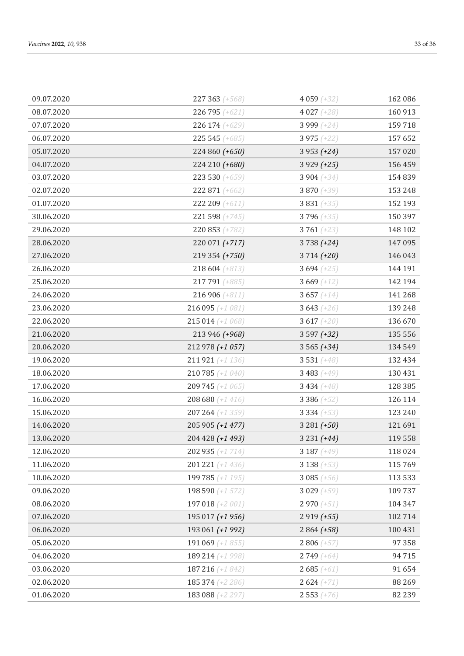| 09.07.2020 | 227 363 (+568)      | 4 059 $(+32)$  | 162 086  |
|------------|---------------------|----------------|----------|
| 08.07.2020 | 226 795 (+621)      | 4 027 $(+28)$  | 160 913  |
| 07.07.2020 | $226174 (+629)$     | 3 999 $(+24)$  | 159718   |
| 06.07.2020 | $225545 (+685)$     | 3 975 $(+22)$  | 157 652  |
| 05.07.2020 | 224 860 (+650)      | $3953 (+24)$   | 157 020  |
| 04.07.2020 | 224 210 (+680)      | $3929 (+25)$   | 156 459  |
| 03.07.2020 | 223 530 $(+659)$    | 3 904 $(+34)$  | 154 839  |
| 02.07.2020 | 222 871 (+662)      | 3870 $(+39)$   | 153 248  |
| 01.07.2020 | 222 209 $(+611)$    | 3 831 $(+35)$  | 152 193  |
| 30.06.2020 | 221 598 $(+745)$    | 3796 $(+35)$   | 150 397  |
| 29.06.2020 | $220853 (+782)$     | 3761 $(+23)$   | 148 102  |
| 28.06.2020 | 220 071 (+717)      | $3738 (+24)$   | 147 095  |
| 27.06.2020 | 219 354 (+750)      | $3714 (+20)$   | 146 043  |
| 26.06.2020 | $218604 (+813)$     | 3 694 $(+25)$  | 144 191  |
| 25.06.2020 | 217 791 (+885)      | 3 669 $(+12)$  | 142 194  |
| 24.06.2020 | $216906 (+811)$     | 3 657 $(+14)$  | 141 268  |
| 23.06.2020 | $216095 (+1081)$    | 3643 $(+26)$   | 139 248  |
| 22.06.2020 | $215014 (+1068)$    | 3617 $(+20)$   | 136 670  |
| 21.06.2020 | 213 946 (+968)      | $3597 (+32)$   | 135 556  |
| 20.06.2020 | 212 978 (+1 057)    | $3565 (+34)$   | 134 549  |
| 19.06.2020 | 211 921 (+1 136)    | $3531 (+48)$   | 132 434  |
| 18.06.2020 | $210785 (+1040)$    | 3 483 $(+49)$  | 130 431  |
| 17.06.2020 | 209 745 (+1 065)    | $3434 (+48)$   | 128 385  |
| 16.06.2020 | 208 680 $(+1\ 416)$ | 3 386 $(+52)$  | 126 114  |
| 15.06.2020 | 207 264 (+1 359)    | $3334 (+53)$   | 123 240  |
| 14.06.2020 | 205 905 (+1 477)    | $3281 (+50)$   | 121 691  |
| 13.06.2020 | 204 428 (+1 493)    | $3231 (+44)$   | 119 558  |
| 12.06.2020 | $202935 (+1714)$    | 3 187 $(+49)$  | 118024   |
| 11.06.2020 | $201221 (+1436)$    | 3 138 $(+53)$  | 115 769  |
| 10.06.2020 | 199 785 (+1 195)    | 3 085 $(+56)$  | 113 533  |
| 09.06.2020 | 198 590 (+1 572)    | 3 0 29 $(+59)$ | 109 737  |
| 08.06.2020 | 197 018 (+2 001)    | $2970 (+51)$   | 104 347  |
| 07.06.2020 | 195 017 (+1 956)    | $2919 (+55)$   | 102714   |
| 06.06.2020 | 193 061 (+1 992)    | $2864 (+58)$   | 100 431  |
| 05.06.2020 | 191 069 $(+1855)$   | $2806 (+57)$   | 97358    |
| 04.06.2020 | 189 214 (+1 998)    | $2749 (+64)$   | 94715    |
| 03.06.2020 | 187 216 (+1 842)    | $2685 (+61)$   | 91 654   |
| 02.06.2020 | 185 374 (+2 286)    | $2624 (+71)$   | 88 269   |
| 01.06.2020 | 183 088 (+2 297)    | $2553 (+76)$   | 82 2 3 9 |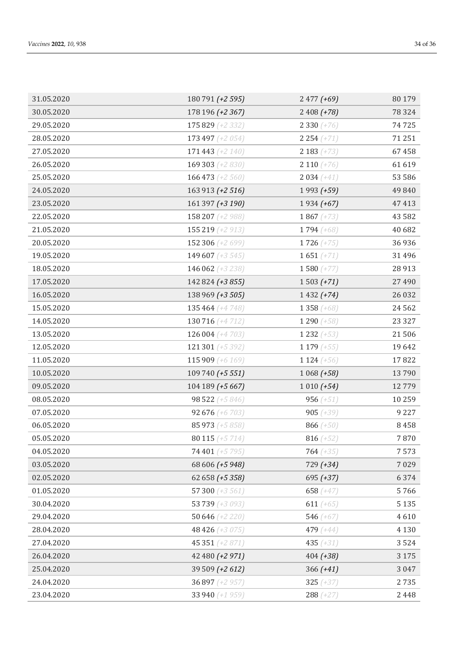| 31.05.2020 | 180 791 (+2 595)    | $2477 (+69)$   | 80 179   |
|------------|---------------------|----------------|----------|
| 30.05.2020 | 178 196 (+2 367)    | $2408 (+78)$   | 78324    |
| 29.05.2020 | 175 829 (+2 332)    | $2330 (+76)$   | 74725    |
| 28.05.2020 | 173 497 (+2 054)    | $2254 (+71)$   | 71 251   |
| 27.05.2020 | 171 443 $(+2 140)$  | $2183 (+73)$   | 67458    |
| 26.05.2020 | 169 303 $(+2, 830)$ | $2 110 (+76)$  | 61619    |
| 25.05.2020 | 166 473 (+2 560)    | $2034 (+41)$   | 53 586   |
| 24.05.2020 | 163 913 (+2 516)    | $1993 (+59)$   | 49 840   |
| 23.05.2020 | 161 397 (+3 190)    | $1934 (+67)$   | 47413    |
| 22.05.2020 | 158 207 (+2 988)    | $1867 (+73)$   | 43 5 8 2 |
| 21.05.2020 | 155 219 $(+2913)$   | $1794 (+68)$   | 40 682   |
| 20.05.2020 | 152 306 (+2 699)    | 1726 $(+75)$   | 36936    |
| 19.05.2020 | 149 607 (+3 545)    | $1651 (+71)$   | 31 4 9 6 |
| 18.05.2020 | 146 062 (+3 238)    | 1580 $(+77)$   | 28913    |
| 17.05.2020 | 142 824 (+3 855)    | $1503 (+71)$   | 27490    |
| 16.05.2020 | 138 969 (+3 505)    | $1432 (+74)$   | 26 0 32  |
| 15.05.2020 | 135 464 (+4 748)    | $1358 (+68)$   | 24 5 6 2 |
| 14.05.2020 | 130 716 (+4 712)    | $1290 (+58)$   | 23 3 27  |
| 13.05.2020 | 126 004 (+4 703)    | $1232 (+53)$   | 21506    |
| 12.05.2020 | 121 301 $(+5392)$   | 1 179 $(+55)$  | 19642    |
| 11.05.2020 | 115 909 (+6 169)    | 1 1 24 $(+56)$ | 17822    |
| 10.05.2020 | 109 740 (+5 551)    | $1068 (+58)$   | 13790    |
| 09.05.2020 | 104 189 (+5 667)    | $1010 (+54)$   | 12779    |
| 08.05.2020 | 98 522 (+5 846)     | 956 $(+51)$    | 10 259   |
| 07.05.2020 | 92 676 $(+6703)$    | 905 $(+39)$    | 9 2 2 7  |
| 06.05.2020 | 85 973 (+5 858)     | 866 $(+50)$    | 8458     |
| 05.05.2020 | 80 115 $(+5 714)$   | 816 $(+52)$    | 7870     |
| 04.05.2020 | 74 401 (+5 795)     | $764 (+35)$    | 7573     |
| 03.05.2020 | 68 606 (+5 948)     | $729 (+34)$    | 7029     |
| 02.05.2020 | 62 658 (+5 358)     | $695 (+37)$    | 6374     |
| 01.05.2020 | 57 300 $(+3561)$    | 658 $(+47)$    | 5766     |
| 30.04.2020 | 53 739 (+3 093)     | 611 $(+65)$    | 5 1 3 5  |
| 29.04.2020 | 50 646 $(+2 220)$   | 546 $(+67)$    | 4610     |
| 28.04.2020 | 48 426 (+3 075)     | 479 $(+44)$    | 4 1 3 0  |
| 27.04.2020 | 45 351 (+2 871)     | 435 $(+31)$    | 3524     |
| 26.04.2020 | 42 480 (+2 971)     | $404 (+38)$    | 3 1 7 5  |
| 25.04.2020 | 39 509 (+2 612)     | $366 (+41)$    | 3 0 4 7  |
| 24.04.2020 | 36 897 (+2 957)     | $325 (+37)$    | 2735     |
| 23.04.2020 | 33 940 (+1 959)     | $288 (+27)$    | 2448     |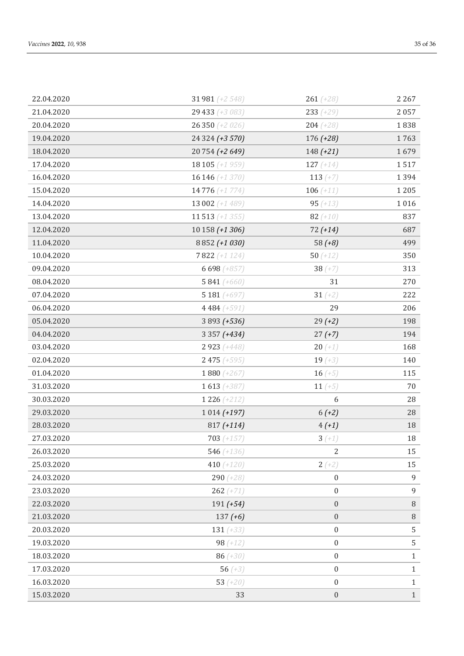| 22.04.2020 | 31 981 (+2 548)     | $261 (+28)$      | 2 2 6 7          |
|------------|---------------------|------------------|------------------|
| 21.04.2020 | 29 433 (+3 083)     | $233 (+29)$      | 2057             |
| 20.04.2020 | $26350 (+2026)$     | $204 (+28)$      | 1838             |
| 19.04.2020 | 24 324 (+3 570)     | $176 (+28)$      | 1763             |
| 18.04.2020 | 20 754 (+2 649)     | $148 (+21)$      | 1679             |
| 17.04.2020 | 18 105 $(+1959)$    | 127 $(+14)$      | 1517             |
| 16.04.2020 | 16 146 (+1 370)     | 113 $(+7)$       | 1394             |
| 15.04.2020 | 14 776 (+1 774)     | 106 $(+11)$      | 1205             |
| 14.04.2020 | 13 002 (+1 489)     | $95 (+13)$       | 1016             |
| 13.04.2020 | 11 513 $(+1355)$    | 82 $(+10)$       | 837              |
| 12.04.2020 | 10 158 (+1 306)     | $72 (+14)$       | 687              |
| 11.04.2020 | 8 8 5 2 (+ 1 0 3 0) | $58(+8)$         | 499              |
| 10.04.2020 | 7822 (+1 124)       | 50 $(+12)$       | 350              |
| 09.04.2020 | 6698 $(+857)$       | 38 $(+7)$        | 313              |
| 08.04.2020 | 5 841 $(+660)$      | 31               | 270              |
| 07.04.2020 | 5 181 $(+697)$      | 31 $(+2)$        | 222              |
| 06.04.2020 | 4484 $(+591)$       | 29               | 206              |
| 05.04.2020 | 3 893 (+536)        | $29(+2)$         | 198              |
| 04.04.2020 | $3357 (+434)$       | $27 (+7)$        | 194              |
| 03.04.2020 | $2923 (+448)$       | $20 (+1)$        | 168              |
| 02.04.2020 | $2475 (+595)$       | $19 (+3)$        | 140              |
| 01.04.2020 | $1880 (+267)$       | 16 $(+5)$        | 115              |
| 31.03.2020 | $1613 (+387)$       | 11 $(+5)$        | 70               |
| 30.03.2020 | 1 226 $(+212)$      | 6                | 28               |
| 29.03.2020 | $1014 (+197)$       | $6(+2)$          | 28               |
| 28.03.2020 | $817 (+114)$        | $4(+1)$          | 18               |
| 27.03.2020 | $703 (+157)$        | $3(+1)$          | 18               |
| 26.03.2020 | 546 $(+136)$        | $\overline{2}$   | 15               |
| 25.03.2020 | 410 $(+120)$        | $2(+2)$          | 15               |
| 24.03.2020 | 290 $(+28)$         | $\boldsymbol{0}$ | $\boldsymbol{9}$ |
| 23.03.2020 | $262 (+71)$         | $\boldsymbol{0}$ | $\mathbf{9}$     |
| 22.03.2020 | $191 (+54)$         | $\boldsymbol{0}$ | $\, 8$           |
| 21.03.2020 | $137 (+6)$          | $\boldsymbol{0}$ | $\, 8$           |
| 20.03.2020 | 131 $(+33)$         | $\boldsymbol{0}$ | $\mathsf S$      |
| 19.03.2020 | $98 (+12)$          | $\boldsymbol{0}$ | 5                |
| 18.03.2020 | $86 (+30)$          | $\boldsymbol{0}$ | $1\,$            |
| 17.03.2020 | 56 $(+3)$           | $\boldsymbol{0}$ | $\mathbf 1$      |
| 16.03.2020 | 53 $(+20)$          | $\boldsymbol{0}$ | $\mathbf{1}$     |
| 15.03.2020 | 33                  | $\boldsymbol{0}$ | $1\,$            |